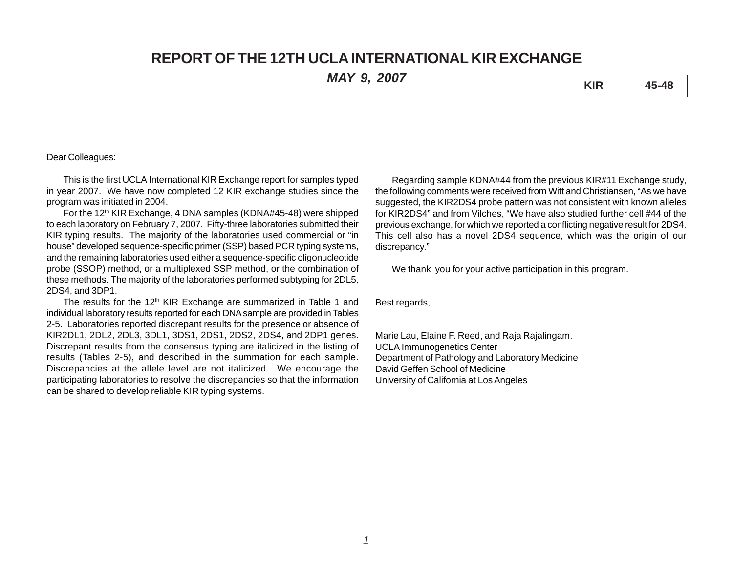# **REPORT OF THE 12TH UCLA INTERNATIONAL KIR EXCHANGE**

*MAY 9, 2007* **KIR 45-48**

## Dear Colleagues:

This is the first UCLA International KIR Exchange report for samples typed in year 2007. We have now completed 12 KIR exchange studies since the program was initiated in 2004.

For the 12<sup>th</sup> KIR Exchange, 4 DNA samples (KDNA#45-48) were shipped to each laboratory on February 7, 2007. Fifty-three laboratories submitted their KIR typing results. The majority of the laboratories used commercial or "in house" developed sequence-specific primer (SSP) based PCR typing systems, and the remaining laboratories used either a sequence-specific oligonucleotide probe (SSOP) method, or a multiplexed SSP method, or the combination of these methods. The majority of the laboratories performed subtyping for 2DL5, 2DS4, and 3DP1.

The results for the  $12<sup>th</sup>$  KIR Exchange are summarized in Table 1 and individual laboratory results reported for each DNA sample are provided in Tables 2-5. Laboratories reported discrepant results for the presence or absence of KIR2DL1, 2DL2, 2DL3, 3DL1, 3DS1, 2DS1, 2DS2, 2DS4, and 2DP1 genes. Discrepant results from the consensus typing are italicized in the listing of results (Tables 2-5), and described in the summation for each sample. Discrepancies at the allele level are not italicized. We encourage the participating laboratories to resolve the discrepancies so that the information can be shared to develop reliable KIR typing systems.

Regarding sample KDNA#44 from the previous KIR#11 Exchange study, the following comments were received from Witt and Christiansen, "As we have suggested, the KIR2DS4 probe pattern was not consistent with known alleles for KIR2DS4" and from Vilches, "We have also studied further cell #44 of the previous exchange, for which we reported a conflicting negative result for 2DS4. This cell also has a novel 2DS4 sequence, which was the origin of our discrepancy."

We thank you for your active participation in this program.

Best regards,

Marie Lau, Elaine F. Reed, and Raja Rajalingam. UCLA Immunogenetics Center Department of Pathology and Laboratory Medicine David Geffen School of Medicine University of California at Los Angeles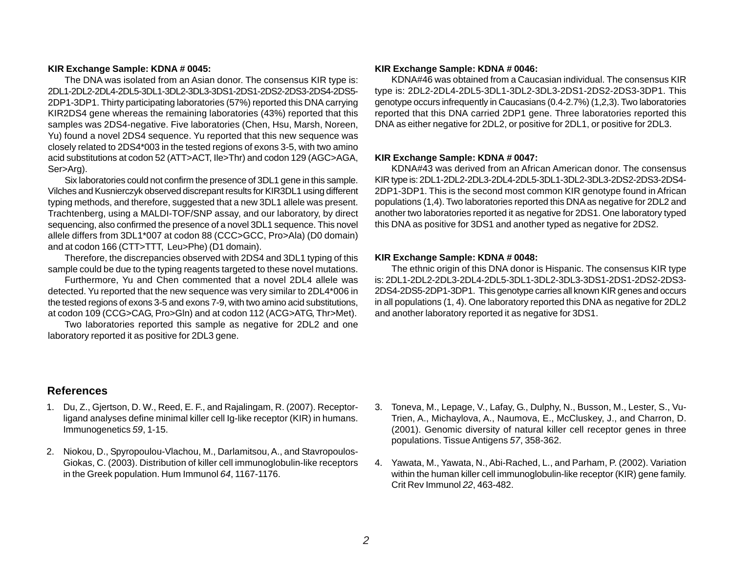## **KIR Exchange Sample: KDNA # 0045:**

The DNA was isolated from an Asian donor. The consensus KIR type is: 2DL1-2DL2-2DL4-2DL5-3DL1-3DL2-3DL3-3DS1-2DS1-2DS2-2DS3-2DS4-2DS5- 2DP1-3DP1. Thirty participating laboratories (57%) reported this DNA carrying KIR2DS4 gene whereas the remaining laboratories (43%) reported that this samples was 2DS4-negative. Five laboratories (Chen, Hsu, Marsh, Noreen, Yu) found a novel 2DS4 sequence. Yu reported that this new sequence was closely related to 2DS4\*003 in the tested regions of exons 3-5, with two amino acid substitutions at codon 52 (ATT>ACT, Ile>Thr) and codon 129 (AGC>AGA, Ser>Arg).

Six laboratories could not confirm the presence of 3DL1 gene in this sample. Vilches and Kusnierczyk observed discrepant results for KIR3DL1 using different typing methods, and therefore, suggested that a new 3DL1 allele was present. Trachtenberg, using a MALDI-TOF/SNP assay, and our laboratory, by direct sequencing, also confirmed the presence of a novel 3DL1 sequence. This novel allele differs from 3DL1\*007 at codon 88 (CCC>GCC, Pro>Ala) (D0 domain) and at codon 166 (CTT>TTT, Leu>Phe) (D1 domain).

Therefore, the discrepancies observed with 2DS4 and 3DL1 typing of this sample could be due to the typing reagents targeted to these novel mutations.

Furthermore, Yu and Chen commented that a novel 2DL4 allele was detected. Yu reported that the new sequence was very similar to 2DL4\*006 in the tested regions of exons 3-5 and exons 7-9, with two amino acid substitutions, at codon 109 (CCG>CAG, Pro>Gln) and at codon 112 (ACG>ATG, Thr>Met).

Two laboratories reported this sample as negative for 2DL2 and one laboratory reported it as positive for 2DL3 gene.

# **References**

- 1. Du, Z., Gjertson, D. W., Reed, E. F., and Rajalingam, R. (2007). Receptorligand analyses define minimal killer cell Ig-like receptor (KIR) in humans. Immunogenetics *59*, 1-15.
- 2. Niokou, D., Spyropoulou-Vlachou, M., Darlamitsou, A., and Stavropoulos-Giokas, C. (2003). Distribution of killer cell immunoglobulin-like receptors in the Greek population. Hum Immunol *64*, 1167-1176.

## **KIR Exchange Sample: KDNA # 0046:**

KDNA#46 was obtained from a Caucasian individual. The consensus KIR type is: 2DL2-2DL4-2DL5-3DL1-3DL2-3DL3-2DS1-2DS2-2DS3-3DP1. This genotype occurs infrequently in Caucasians (0.4-2.7%) (1,2,3). Two laboratories reported that this DNA carried 2DP1 gene. Three laboratories reported this DNA as either negative for 2DL2, or positive for 2DL1, or positive for 2DL3.

## **KIR Exchange Sample: KDNA # 0047:**

KDNA#43 was derived from an African American donor. The consensus KIR type is: 2DL1-2DL2-2DL3-2DL4-2DL5-3DL1-3DL2-3DL3-2DS2-2DS3-2DS4- 2DP1-3DP1. This is the second most common KIR genotype found in African populations (1,4). Two laboratories reported this DNA as negative for 2DL2 and another two laboratories reported it as negative for 2DS1. One laboratory typed this DNA as positive for 3DS1 and another typed as negative for 2DS2.

#### **KIR Exchange Sample: KDNA # 0048:**

The ethnic origin of this DNA donor is Hispanic. The consensus KIR type is: 2DL1-2DL2-2DL3-2DL4-2DL5-3DL1-3DL2-3DL3-3DS1-2DS1-2DS2-2DS3- 2DS4-2DS5-2DP1-3DP1. This genotype carries all known KIR genes and occurs in all populations (1, 4). One laboratory reported this DNA as negative for 2DL2 and another laboratory reported it as negative for 3DS1.

- 3. Toneva, M., Lepage, V., Lafay, G., Dulphy, N., Busson, M., Lester, S., Vu-Trien, A., Michaylova, A., Naumova, E., McCluskey, J., and Charron, D. (2001). Genomic diversity of natural killer cell receptor genes in three populations. Tissue Antigens *57*, 358-362.
- 4. Yawata, M., Yawata, N., Abi-Rached, L., and Parham, P. (2002). Variation within the human killer cell immunoglobulin-like receptor (KIR) gene family. Crit Rev Immunol *22*, 463-482.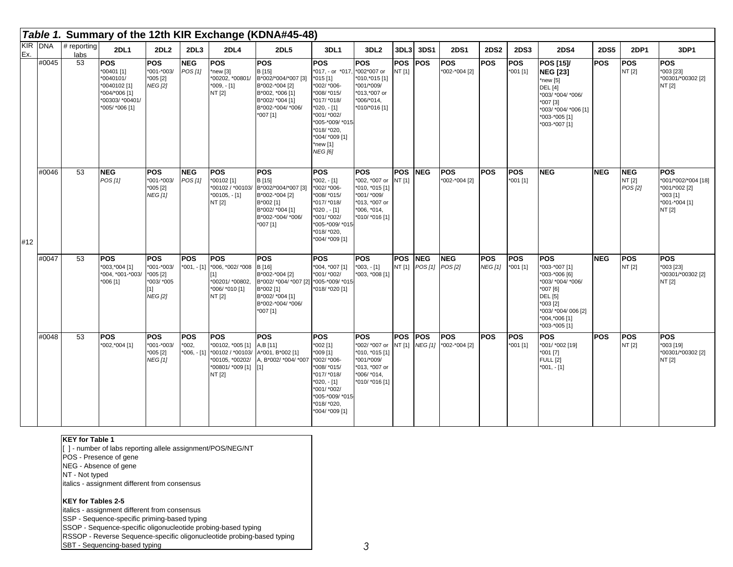|                |       |                     |                                                                                                             |                                                                                     |                                |                                                                                                     | Table 1. Summary of the 12th KIR Exchange (KDNA#45-48)                                                                                   |                                                                                                                                                                                                    |                                                                                                                         |                      |                             |                                     |                       |                          |                                                                                                                                                                        |             |                                 |                                                                                             |
|----------------|-------|---------------------|-------------------------------------------------------------------------------------------------------------|-------------------------------------------------------------------------------------|--------------------------------|-----------------------------------------------------------------------------------------------------|------------------------------------------------------------------------------------------------------------------------------------------|----------------------------------------------------------------------------------------------------------------------------------------------------------------------------------------------------|-------------------------------------------------------------------------------------------------------------------------|----------------------|-----------------------------|-------------------------------------|-----------------------|--------------------------|------------------------------------------------------------------------------------------------------------------------------------------------------------------------|-------------|---------------------------------|---------------------------------------------------------------------------------------------|
| KIR DNA<br>Ex. |       | # reporting<br>labs | <b>2DL1</b>                                                                                                 | 2DL2                                                                                | 2DL3                           | 2DL4                                                                                                | 2DL5                                                                                                                                     | 3DL1                                                                                                                                                                                               | 3DL <sub>2</sub>                                                                                                        | 3DL3                 | 3DS1                        | <b>2DS1</b>                         | <b>2DS2</b>           | <b>2DS3</b>              | <b>2DS4</b>                                                                                                                                                            | <b>2DS5</b> | <b>2DP1</b>                     | 3DP1                                                                                        |
|                | #0045 | $\overline{53}$     | <b>POS</b><br>*00401 [1]<br>*0040101/<br>*0040102 [1]<br>*004/*006 [1]<br>*00303/ *00401/<br>*005/ *006 [1] | <b>POS</b><br>$*001 - *003/$<br>$*005$ [2]<br><b>NEG [2]</b>                        | <b>NEG</b><br>POS[1]           | <b>POS</b><br>new [3]<br>*00202, *00801/<br>$*009, -[1]$<br>NT [2]                                  | POS<br>B [15]<br>B*002/*004/*007 [3]<br>B*002-*004 [2]<br>B*002, *006 [1]<br>B*002/ *004 [1]<br>B*002-*004/ *006/<br>*007 [1]            | POS<br>*017, - or *017<br>$*015[1]$<br>*002/ *006-<br>*008/ *015/<br>*017/ *018/<br>$*020, -[1]$<br>*001/ *002/<br>*005-*009/ *015-<br>*018/ *020,<br>*004/ *009 [1]<br>*new [1]<br><b>NEG [6]</b> | <b>POS</b><br>*002*007 or<br>*010,*015 [1]<br>*001/*009/<br>*013,*007 or<br>$*006/*014,$<br>*010/*016 [1]               | <b>POS</b><br>NT [1] | POS                         | POS<br>*002-*004 [2]                | POS                   | <b>POS</b><br>*001 [1]   | <b>POS [15]/</b><br><b>NEG [23]</b><br>*new $[5]$<br><b>DEL</b> [4]<br>*003/ *004/ *006/<br>$*007$ [3]<br>*003/ *004/ *006 [1]<br>*003-*005 [1]<br>*003-*007 [1]       | <b>POS</b>  | POS<br>NT [2]                   | POS<br>*003 [23]<br>*00301/*00302 [2]<br>NT [2]                                             |
| #12            | #0046 | 53                  | <b>NEG</b><br>POS [1]                                                                                       | <b>POS</b><br>*001-*003/<br>$*005$ [2]<br><b>NEG</b> [1]                            | <b>NEG</b><br>POS [1]          | <b>POS</b><br>*00102 [1]<br>*00102 / *00103/<br>*00105, - [1]<br>NT [2]                             | <b>POS</b><br>B [15]<br>B*002/*004/*007 [3]<br>B*002-*004 [2]<br>B*002 [1]<br>B*002/ *004 [1]<br>B*002-*004/ *006/<br>$*007[1]$          | <b>POS</b><br>$*002, -[1]$<br>*002/ *006-<br>*008/ *015/<br>*017/ *018/<br>*020,- [1]<br>*001/ *002/<br>*005-*009/ *015-<br>*018/ *020,<br>*004/ *009 [1]                                          | <b>POS</b><br>*002, *007 or NT [1]<br>*010, *015 [1]<br>*001/ *009/<br>*013, *007 or<br>$*006, *014,$<br>*010/ *016 [1] | <b>POS</b>           | <b>NEG</b>                  | <b>POS</b><br>*002-*004 [2]         | <b>POS</b>            | <b>POS</b><br>$*001$ [1] | <b>NEG</b>                                                                                                                                                             | <b>NEG</b>  | <b>NEG</b><br>NT [2]<br>POS [2] | <b>POS</b><br>*001/*002/*004 [18]<br>*001/*002 [2]<br>$*003$ [1]<br>*001-*004 [1]<br>NT [2] |
|                | #0047 | 53                  | <b>POS</b><br>*003,*004 [1]<br>*004, *001-*003/<br>$*006$ [1]                                               | <b>POS</b><br>$*001 - *003/$<br>$*005$ [2]<br>*003/ *005<br>$[1]$<br><b>NEG</b> [2] | POS                            | <b>POS</b><br>*001, - [1] *006, *002/ *008 B [16]<br>*00201/*00802,<br>*006/ *010 [1]<br>NT [2]     | <b>POS</b><br>B*002-*004 [2]<br>B*002/ *004/ *007 [2] *005-*009/ *015<br>B*002 [1]<br>B*002/ *004 [1]<br>B*002-*004/ *006/<br>$*007$ [1] | POS<br>*004, *007 [1]<br>*001/ *002/<br>*018/ *020 [1]                                                                                                                                             | <b>POS</b><br>$*003, -[1]$<br>*003, *008 [1]                                                                            | <b>POS</b><br>NT [1] | <b>NEG</b><br>POS[1] POS[2] | <b>NEG</b>                          | POS<br><b>NEG</b> [1] | <b>POS</b><br>*001 [1]   | <b>POS</b><br>*003-*007 [1]<br>*003-*006 [6]<br>*003/ *004/ *006/<br>*007 [6]<br><b>DEL</b> [5]<br>$*003$ [2]<br>*003/ *004/ 006 [2]<br>*004,*006 [1]<br>*003-*005 [1] | <b>NEG</b>  | POS<br>NT [2]                   | POS<br>*003 [23]<br>*00301/*00302 [2]<br>NT [2]                                             |
|                | #0048 | 53                  | <b>POS</b><br>*002,*004 [1]                                                                                 | <b>POS</b><br>*001-*003/<br>$*005$ [2]<br><b>NEG [1]</b>                            | POS<br>$*002,$<br>$*006, -[1]$ | <b>POS</b><br>*00102, *005 [1]<br>*00102 / *00103/<br>*00105, *00202/<br>*00801/ *009 [1]<br>NT [2] | POS<br>A,B [11]<br>A*001, B*002 [1]<br>A, B*002/ *004/ *007<br>[1]                                                                       | POS<br>*002 [1]<br>*009 [1]<br>*002/ *006-<br>*008/ *015/<br>*017/ *018/<br>*020, - [1]<br>*001/ *002/<br>*005-*009/ *015-<br>*018/ *020,<br>*004/ *009 [1]                                        | <b>POS</b><br>*002/ *007 or NT [1]<br>*010, *015 [1]<br>*001/*009/<br>*013, *007 or<br>*006/ *014,<br>*010/ *016 [1]    | <b>POS</b>           | POS                         | <b>POS</b><br>NEG [1] *002-*004 [2] | <b>POS</b>            | <b>POS</b><br>$*001$ [1] | <b>POS</b><br>*001/ *002 [19]<br>$*001$ [7]<br><b>FULL</b> [2]<br>$*001, -[1]$                                                                                         | <b>POS</b>  | <b>POS</b><br>NT [2]            | POS<br>*003 [19]<br>*00301/*00302 [2]<br>NT [2]                                             |

## **KEY for Table 1**

[ ] - number of labs reporting allele assignment/POS/NEG/NT

POS - Presence of gene

NEG - Absence of gene

NT - Not typed

italics - assignment different from consensus

#### **KEY for Tables 2-5**

italics - assignment different from consensus

SSP - Sequence-specific priming-based typing

SSOP - Sequence-specific oligonucleotide probing-based typing

RSSOP - Reverse Sequence-specific oligonucleotide probing-based typing

SBT - Sequencing-based typing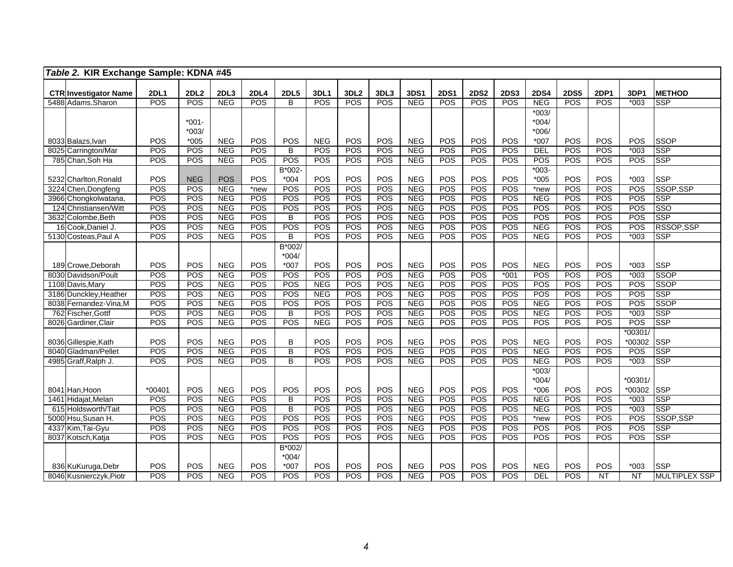| Table 2. KIR Exchange Sample: KDNA #45             |             |                   |                          |            |                     |            |                   |            |                          |             |             |                   |             |             |             |                 |                          |
|----------------------------------------------------|-------------|-------------------|--------------------------|------------|---------------------|------------|-------------------|------------|--------------------------|-------------|-------------|-------------------|-------------|-------------|-------------|-----------------|--------------------------|
|                                                    | <b>2DL1</b> | <b>2DL2</b>       | 2DL3                     | 2DL4       | <b>2DL5</b>         | 3DL1       | 3DL2              | 3DL3       | 3DS1                     | <b>2DS1</b> | <b>2DS2</b> | <b>2DS3</b>       | <b>2DS4</b> | <b>2DS5</b> | <b>2DP1</b> | 3DP1            | <b>METHOD</b>            |
| <b>CTR Investigator Name</b><br>5488 Adams, Sharon | POS         | POS               | <b>NEG</b>               | POS        | $\overline{B}$      | POS        | <b>POS</b>        | POS        | <b>NEG</b>               | POS         | POS         | POS               | <b>NEG</b>  | POS         | POS         | $*003$          | <b>SSP</b>               |
|                                                    |             |                   |                          |            |                     |            |                   |            |                          |             |             |                   | $*003/$     |             |             |                 |                          |
|                                                    |             | $*001 -$          |                          |            |                     |            |                   |            |                          |             |             |                   | $*004/$     |             |             |                 |                          |
|                                                    |             | $*003/$           |                          |            |                     |            |                   |            |                          |             |             |                   | $*006/$     |             |             |                 |                          |
| 8033 Balazs, Ivan                                  | POS         | $*005$            | <b>NEG</b>               | POS        | POS                 | <b>NEG</b> | POS               | POS        | <b>NEG</b>               | POS         | POS         | POS               | $*007$      | POS         | POS         | POS             | SSOP                     |
| 8025 Carrington/Mar                                | POS         | <b>POS</b>        | <b>NEG</b>               | POS        | B                   | POS        | POS               | POS        | <b>NEG</b>               | POS         | POS         | <b>POS</b>        | DEL         | POS         | POS         | $*003$          | <b>SSP</b>               |
| 785 Chan, Soh Ha                                   | <b>POS</b>  | <b>POS</b>        | <b>NEG</b>               | POS        | POS                 | POS        | POS               | <b>POS</b> | <b>NEG</b>               | <b>POS</b>  | POS         | POS               | POS         | POS         | POS         | <b>POS</b>      | <b>SSP</b>               |
|                                                    |             |                   |                          |            | B*002-              |            |                   |            |                          |             |             |                   | $*003-$     |             |             |                 |                          |
| 5232 Charlton, Ronald                              | POS         | <b>NEG</b>        | <b>POS</b>               | POS        | $*004$              | POS        | POS               | POS        | <b>NEG</b>               | POS         | POS         | POS               | $*005$      | POS         | POS         | $*003$          | <b>SSP</b>               |
| 3224 Chen, Dongfeng                                | POS         | POS               | <b>NEG</b>               | *new       | POS                 | POS        | POS               | POS        | <b>NEG</b>               | POS         | POS         | <b>POS</b>        | *new        | POS         | POS         | POS             | SSOP,SSP                 |
| 3966 Chongkolwatana,                               | POS         | <b>POS</b>        | <b>NEG</b>               | POS        | POS                 | POS        | POS               | POS        | <b>NEG</b>               | <b>POS</b>  | <b>POS</b>  | <b>POS</b>        | <b>NEG</b>  | <b>POS</b>  | POS         | <b>POS</b>      | <b>SSP</b>               |
| 124 Christiansen/Witt                              | POS         | POS               | <b>NEG</b>               | POS        | POS                 | POS        | POS               | POS        | <b>NEG</b>               | POS         | POS         | <b>POS</b>        | POS         | POS         | POS         | POS             | <b>SSO</b>               |
| 3632 Colombe, Beth                                 | POS         | POS               | <b>NEG</b>               | POS        | $\overline{B}$      | POS        | POS               | <b>POS</b> | <b>NEG</b>               | POS         | POS         | <b>POS</b>        | POS         | POS         | POS         | POS             | <b>SSP</b>               |
| 16 Cook, Daniel J.                                 | POS         | POS               | <b>NEG</b>               | POS        | POS                 | POS        | POS               | POS        | <b>NEG</b>               | POS         | POS         | POS               | <b>NEG</b>  | <b>POS</b>  | POS         | POS             | RSSOP, SSP               |
| 5130 Costeas, Paul A                               | POS         | POS               | NEG                      | POS        | B                   | POS        | POS               | <b>POS</b> | <b>NEG</b>               | POS         | POS         | POS               | NEG         | POS         | POS         | $*003$          | <b>SSP</b>               |
|                                                    |             |                   |                          |            | B*002/              |            |                   |            |                          |             |             |                   |             |             |             |                 |                          |
|                                                    |             |                   |                          |            | $*004/$             |            |                   |            |                          |             |             |                   |             |             |             |                 |                          |
| 189 Crowe, Deborah                                 | POS         | POS               | <b>NEG</b>               | POS        | $*007$              | POS        | POS               | POS        | <b>NEG</b>               | POS         | POS         | POS               | <b>NEG</b>  | POS         | POS         | $*003$          | <b>SSP</b>               |
| 8030 Davidson/Poult                                | POS         | POS               | <b>NEG</b>               | POS        | POS                 | POS        | POS               | POS        | <b>NEG</b>               | POS         | POS         | $*001$            | POS         | POS         | POS         | $*003$          | <b>SSOP</b>              |
| 1108 Davis, Mary                                   | <b>POS</b>  | POS               | <b>NEG</b>               | POS        | POS                 | <b>NEG</b> | POS               | POS        | <b>NEG</b>               | POS         | POS         | <b>POS</b>        | POS         | POS         | POS         | POS             | <b>SSOP</b>              |
| 3186 Dunckley, Heather                             | POS         | POS               | <b>NEG</b>               | POS        | POS                 | <b>NEG</b> | POS               | <b>POS</b> | <b>NEG</b>               | POS         | POS         | POS               | POS         | POS         | POS         | POS             | <b>SSP</b>               |
| 8038 Fernandez-Vina, M                             | POS         | POS               | <b>NEG</b>               | POS        | POS                 | POS        | POS               | POS        | <b>NEG</b>               | POS         | POS         | <b>POS</b>        | <b>NEG</b>  | POS         | POS         | <b>POS</b>      | <b>SSOP</b>              |
| 762 Fischer, Gottf                                 | POS         | POS               | <b>NEG</b>               | POS        | B                   | POS        | POS               | POS        | <b>NEG</b>               | POS         | POS         | <b>POS</b>        | <b>NEG</b>  | POS         | POS         | $*003$          | <b>SSP</b>               |
| 8026 Gardiner, Clair                               | POS         | POS               | <b>NEG</b>               | POS        | POS                 | <b>NEG</b> | POS               | <b>POS</b> | <b>NEG</b>               | POS         | <b>POS</b>  | <b>POS</b>        | POS         | <b>POS</b>  | POS         | POS             | <b>SSP</b>               |
|                                                    |             |                   |                          |            |                     |            |                   |            |                          |             |             |                   |             |             |             | $*00301/$       |                          |
| 8036 Gillespie, Kath                               | POS         | POS               | <b>NEG</b>               | POS        | B                   | POS        | POS               | POS        | <b>NEG</b>               | POS         | POS         | POS               | <b>NEG</b>  | POS         | POS         | *00302          | <b>SSP</b>               |
| 8040 Gladman/Pellet                                | POS         | POS               | <b>NEG</b>               | POS        | $\overline{B}$      | POS        | POS               | POS        | <b>NEG</b>               | POS         | POS         | POS               | <b>NEG</b>  | POS         | POS         | POS             | <b>SSP</b>               |
| 4985 Graff, Ralph J.                               | POS         | POS               | NEG                      | POS        | $\overline{B}$      | POS        | POS               | POS        | <b>NEG</b>               | POS         | POS         | POS               | <b>NEG</b>  | POS         | POS         | $*003$          | <b>SSP</b>               |
|                                                    |             |                   |                          |            |                     |            |                   |            |                          |             |             |                   | $*003/$     |             |             |                 |                          |
|                                                    |             |                   |                          |            |                     |            |                   |            |                          |             |             |                   | $*004/$     |             |             | *00301/         |                          |
| 8041 Han, Hoon                                     | *00401      | POS               | <b>NEG</b>               | POS        | POS                 | POS        | POS               | POS<br>POS | <b>NEG</b>               | POS<br>POS  | POS         | POS               | $*006$      | POS         | POS         | *00302          | <b>SSP</b>               |
| 1461 Hidajat, Melan                                | POS<br>POS  | <b>POS</b><br>POS | <b>NEG</b>               | POS<br>POS | B<br>$\overline{B}$ | POS<br>POS | <b>POS</b><br>POS | POS        | <b>NEG</b><br><b>NEG</b> | POS         | POS<br>POS  | POS<br>POS        | <b>NEG</b>  | POS         | POS<br>POS  | $*003$          | <b>SSP</b><br><b>SSP</b> |
| 615 Holdsworth/Tait                                |             |                   | <b>NEG</b>               |            |                     | POS        |                   |            |                          |             |             |                   | <b>NEG</b>  | POS<br>POS  | POS         | $*003$<br>POS   | SSOP,SSP                 |
| 5000 Hsu, Susan H.<br>4337 Kim, Tai-Gyu            | POS<br>POS  | POS<br>POS        | <b>NEG</b><br><b>NEG</b> | POS<br>POS | POS<br>POS          | POS        | POS<br>POS        | POS<br>POS | <b>NEG</b><br><b>NEG</b> | POS<br>POS  | POS<br>POS  | POS<br><b>POS</b> | *new<br>POS | POS         | POS         | POS             | <b>SSP</b>               |
|                                                    | POS         | POS               | <b>NEG</b>               | POS        | POS                 | POS        | <b>POS</b>        | <b>POS</b> | <b>NEG</b>               | <b>POS</b>  | POS         | <b>POS</b>        | POS         | POS         | POS         | POS             | <b>SSP</b>               |
| 8037 Kotsch, Katja                                 |             |                   |                          |            | B*002/              |            |                   |            |                          |             |             |                   |             |             |             |                 |                          |
|                                                    |             |                   |                          |            | $*004/$             |            |                   |            |                          |             |             |                   |             |             |             |                 |                          |
| 836 KuKuruga, Debr                                 | POS         | POS               | <b>NEG</b>               | POS        | $*007$              | POS        | POS               | POS        | <b>NEG</b>               | POS         | POS         | POS               | <b>NEG</b>  | POS         | POS         | $*003$          | <b>SSP</b>               |
| 8046 Kusnierczyk, Piotr                            | <b>POS</b>  | POS               | <b>NEG</b>               | POS        | <b>POS</b>          | POS        | <b>POS</b>        | POS        | <b>NEG</b>               | POS         | POS         | <b>POS</b>        | <b>DEL</b>  | POS         | NT          | $\overline{NT}$ | <b>MULTIPLEX SSP</b>     |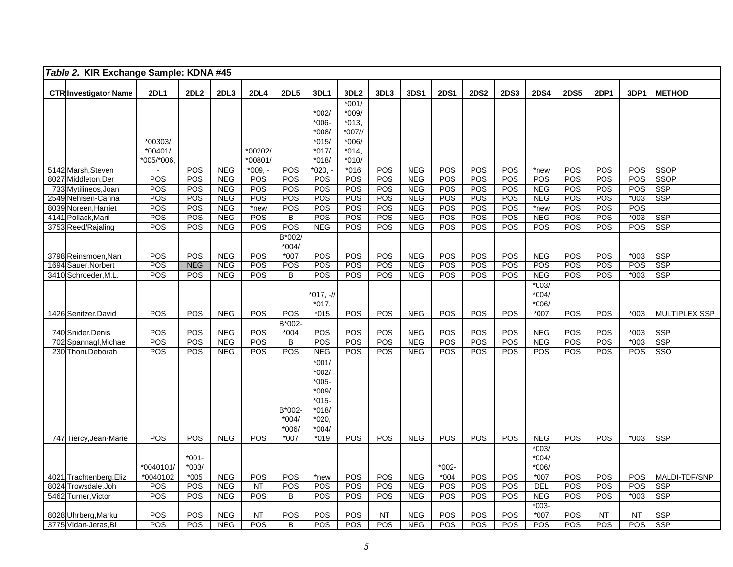|      | Table 2. KIR Exchange Sample: KDNA #45     |             |                  |             |             |                   |                  |                  |                  |             |             |             |             |             |                  |             |            |                      |
|------|--------------------------------------------|-------------|------------------|-------------|-------------|-------------------|------------------|------------------|------------------|-------------|-------------|-------------|-------------|-------------|------------------|-------------|------------|----------------------|
|      |                                            | <b>2DL1</b> | 2DL2             |             | <b>2DL4</b> | <b>2DL5</b>       | 3DL1             | 3DL <sub>2</sub> | 3DL3             | <b>3DS1</b> | <b>2DS1</b> | <b>2DS2</b> | <b>2DS3</b> | <b>2DS4</b> | <b>2DS5</b>      | <b>2DP1</b> | 3DP1       | <b>METHOD</b>        |
|      | <b>CTR Investigator Name</b>               |             |                  | 2DL3        |             |                   |                  | $*001/$          |                  |             |             |             |             |             |                  |             |            |                      |
|      |                                            |             |                  |             |             |                   | $*002/$          | $*009/$          |                  |             |             |             |             |             |                  |             |            |                      |
|      |                                            |             |                  |             |             |                   | *006-            | $*013,$          |                  |             |             |             |             |             |                  |             |            |                      |
|      |                                            |             |                  |             |             |                   | $*008/$          | *007//           |                  |             |             |             |             |             |                  |             |            |                      |
|      |                                            | *00303/     |                  |             |             |                   | $*015/$          | $*006/$          |                  |             |             |             |             |             |                  |             |            |                      |
|      |                                            | $*00401/$   |                  |             | *00202/     |                   | $*017/$          | $*014,$          |                  |             |             |             |             |             |                  |             |            |                      |
|      |                                            | *005/*006.  |                  |             | *00801/     |                   | *018/            | $*010/$          |                  |             |             |             |             |             |                  |             |            |                      |
|      | 5142 Marsh, Steven                         |             | POS              | <b>NEG</b>  | $*009.$     | POS               | *020,            | $*016$           | POS              | <b>NEG</b>  | POS         | POS         | POS         | *new        | POS              | POS         | <b>POS</b> | <b>SSOP</b>          |
|      | 8027 Middleton, Der                        | POS         | POS              | <b>NEG</b>  | POS         | POS               | POS              | POS              | <b>POS</b>       | <b>NEG</b>  | POS         | POS         | POS         | POS         | POS              | POS         | POS        | <b>SSOP</b>          |
|      | 733 Mytilineos, Joan                       | POS         | POS              | NEG         | POS         | POS               | POS              | POS              | POS              | <b>NEG</b>  | POS         | POS         | POS         | <b>NEG</b>  | POS              | POS         | POS        | <b>SSP</b>           |
|      | 2549 Nehlsen-Canna                         | POS         | POS              | <b>NEG</b>  | POS         | POS               | POS              | POS              | POS              | <b>NEG</b>  | POS         | POS         | POS         | <b>NEG</b>  | POS              | POS         | $*003$     | <b>SSP</b>           |
|      | 8039 Noreen, Harriet                       | POS         | POS              | <b>NEG</b>  | *new        | POS               | POS              | POS              | POS              | <b>NEG</b>  | POS         | POS         | <b>POS</b>  | *new        | POS              | POS         | <b>POS</b> |                      |
|      | 4141 Pollack, Maril                        | POS         | $\overline{POS}$ | <b>NEG</b>  | POS         | $\overline{B}$    | POS              | POS              | $\overline{POS}$ | <b>NEG</b>  | POS         | POS         | POS         | <b>NEG</b>  | POS              | POS         | $*003$     | <b>SSP</b>           |
|      | 3753 Reed/Rajaling                         | POS         | POS              | <b>NEG</b>  | POS         | POS               | <b>NEG</b>       | POS              | <b>POS</b>       | <b>NEG</b>  | POS         | POS         | POS         | POS         | POS              | POS         | <b>POS</b> | SSP                  |
|      |                                            |             |                  |             |             | B*002/            |                  |                  |                  |             |             |             |             |             |                  |             |            |                      |
|      |                                            | POS         | POS              | <b>NEG</b>  | POS         | $*004/$<br>$*007$ | POS              | POS              | POS              | <b>NEG</b>  | POS         | POS         | POS         | <b>NEG</b>  | POS              | POS         | $*003$     | <b>SSP</b>           |
|      | 3798 Reinsmoen, Nan<br>1694 Sauer, Norbert | POS         | <b>NEG</b>       | <b>NEG</b>  | POS         | POS               | POS              | POS              | POS              | <b>NEG</b>  | POS         | POS         | POS         | POS         | POS              | POS         | POS        | <b>SSP</b>           |
|      | 3410 Schroeder, M.L                        | POS         | POS              | <b>NEG</b>  | POS         | B                 | POS              | POS              | POS              | <b>NEG</b>  | POS         | POS         | <b>POS</b>  | <b>NEG</b>  | POS              | POS         | $*003$     | <b>SSP</b>           |
|      |                                            |             |                  |             |             |                   |                  |                  |                  |             |             |             |             | $*003/$     |                  |             |            |                      |
|      |                                            |             |                  |             |             |                   | *017, -//        |                  |                  |             |             |             |             | $*004/$     |                  |             |            |                      |
|      |                                            |             |                  |             |             |                   | $*017,$          |                  |                  |             |             |             |             | $*006/$     |                  |             |            |                      |
|      | 1426 Senitzer, David                       | POS         | POS              | <b>NEG</b>  | <b>POS</b>  | POS               | $*015$           | POS              | POS              | <b>NEG</b>  | <b>POS</b>  | POS         | POS         | $*007$      | POS              | POS         | *003       | <b>MULTIPLEX SSP</b> |
|      |                                            |             |                  |             |             | B*002-            |                  |                  |                  |             |             |             |             |             |                  |             |            |                      |
|      | 740 Snider, Denis                          | POS         | POS              | <b>NEG</b>  | <b>POS</b>  | $*004$            | POS              | POS              | POS              | <b>NEG</b>  | POS         | POS         | POS         | <b>NEG</b>  | POS              | POS         | *003       | <b>SSP</b>           |
| 702  | Spannagl, Michae                           | POS         | POS              | <b>NEG</b>  | POS         | $\overline{B}$    | <b>POS</b>       | POS              | POS              | <b>NEG</b>  | <b>POS</b>  | <b>POS</b>  | POS         | <b>NEG</b>  | $\overline{POS}$ | POS         | $*003$     | <b>SSP</b>           |
|      | 230 Thoni, Deborah                         | POS         | POS              | <b>NEG</b>  | POS         | POS               | <b>NEG</b>       | POS              | <b>POS</b>       | <b>NEG</b>  | POS         | POS         | POS         | POS         | POS              | POS         | <b>POS</b> | SSO                  |
|      |                                            |             |                  |             |             |                   | $*001/$          |                  |                  |             |             |             |             |             |                  |             |            |                      |
|      |                                            |             |                  |             |             |                   | $*002/$          |                  |                  |             |             |             |             |             |                  |             |            |                      |
|      |                                            |             |                  |             |             |                   | $*005-$          |                  |                  |             |             |             |             |             |                  |             |            |                      |
|      |                                            |             |                  |             |             |                   | *009/            |                  |                  |             |             |             |             |             |                  |             |            |                      |
|      |                                            |             |                  |             |             |                   | $*015-$          |                  |                  |             |             |             |             |             |                  |             |            |                      |
|      |                                            |             |                  |             |             | B*002<br>$*004/$  | $*018/$<br>*020, |                  |                  |             |             |             |             |             |                  |             |            |                      |
|      |                                            |             |                  |             |             | *006/             | $*004/$          |                  |                  |             |             |             |             |             |                  |             |            |                      |
|      | 747 Tiercy, Jean-Marie                     | POS         | POS              | <b>NEG</b>  | <b>POS</b>  | $*007$            | $*019$           | <b>POS</b>       | <b>POS</b>       | <b>NEG</b>  | <b>POS</b>  | <b>POS</b>  | POS         | <b>NEG</b>  | <b>POS</b>       | POS         | $*003$     | <b>SSP</b>           |
|      |                                            |             |                  |             |             |                   |                  |                  |                  |             |             |             |             | $*003/$     |                  |             |            |                      |
|      |                                            |             | $*001 -$         |             |             |                   |                  |                  |                  |             |             |             |             | $*004/$     |                  |             |            |                      |
|      |                                            | *0040101/   | $*003/$          |             |             |                   |                  |                  |                  |             | $*002 -$    |             |             | $*006/$     |                  |             |            |                      |
|      | 4021 Trachtenberg, Eliz                    | *0040102    | $*005$           | ${\sf NEG}$ | POS         | POS               | *new             | POS              | POS              | <b>NEG</b>  | $*004$      | POS         | POS         | *007        | POS              | POS         | <b>POS</b> | <b>MALDI-TDF/SNP</b> |
| 8024 | Trowsdale, Joh                             | POS         | POS              | <b>NEG</b>  | <b>NT</b>   | POS               | POS              | POS              | POS              | <b>NEG</b>  | POS         | POS         | POS         | <b>DEL</b>  | POS              | POS         | POS        | <b>SSP</b>           |
|      | 5462 Turner, Victor                        | <b>POS</b>  | POS              | <b>NEG</b>  | POS         | B                 | POS              | POS              | POS              | <b>NEG</b>  | POS         | POS         | <b>POS</b>  | <b>NEG</b>  | POS              | POS         | *003       | <b>SSP</b>           |
|      |                                            |             |                  |             |             |                   |                  |                  |                  |             |             |             |             | $*003-$     |                  |             |            |                      |
|      | 8028 Uhrberg, Marku                        | POS         | POS              | <b>NEG</b>  | NT          | POS               | POS              | <b>POS</b>       | NT               | <b>NEG</b>  | POS         | POS         | <b>POS</b>  | *007        | POS              | <b>NT</b>   | NT         | <b>SSP</b>           |
|      | 3775 Vidan-Jeras, Bl                       | POS         | POS              | <b>NEG</b>  | POS         | B                 | POS              | <b>POS</b>       | POS              | <b>NEG</b>  | POS         | <b>POS</b>  | POS         | POS         | POS              | POS         | <b>POS</b> | <b>SSP</b>           |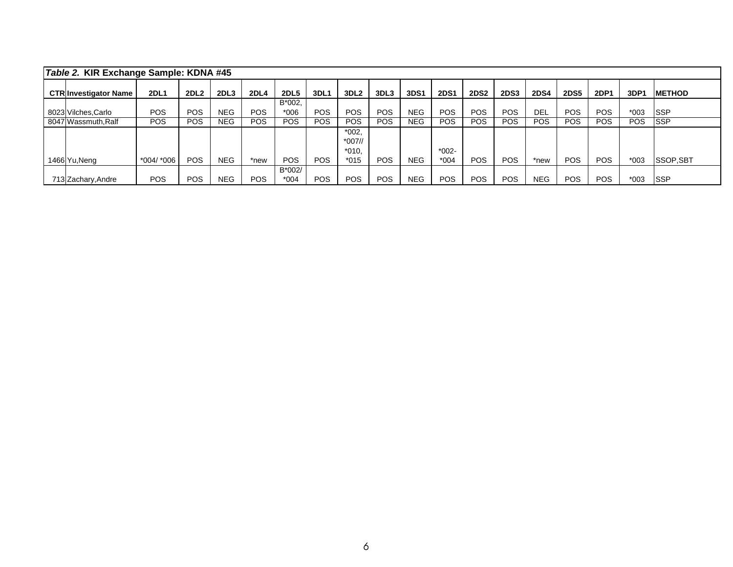| Table 2. KIR Exchange Sample: KDNA #45 |            |             |                  |            |             |            |                  |            |            |             |             |             |             |             |            |            |                 |
|----------------------------------------|------------|-------------|------------------|------------|-------------|------------|------------------|------------|------------|-------------|-------------|-------------|-------------|-------------|------------|------------|-----------------|
| <b>CTR Investigator Name</b>           | 2DL1       | <b>2DL2</b> | 2DL <sub>3</sub> | 2DL4       | <b>2DL5</b> | 3DL1       | 3DL <sub>2</sub> | 3DL3       | 3DS1       | <b>2DS1</b> | <b>2DS2</b> | <b>2DS3</b> | <b>2DS4</b> | <b>2DS5</b> | 2DP1       | 3DP'       | <b>IMETHOD</b>  |
|                                        |            |             |                  |            | B*002.      |            |                  |            |            |             |             |             |             |             |            |            |                 |
| 8023 Vilches, Carlo                    | <b>POS</b> | <b>POS</b>  | <b>NEG</b>       | <b>POS</b> | $*006$      | <b>POS</b> | <b>POS</b>       | <b>POS</b> | <b>NEG</b> | <b>POS</b>  | <b>POS</b>  | <b>POS</b>  | <b>DEL</b>  | POS.        | POS.       | $*003$     | <b>ISSP</b>     |
| 8047 Wassmuth, Ralf                    | <b>POS</b> | <b>POS</b>  | <b>NEG</b>       | <b>POS</b> | POS.        | <b>POS</b> | <b>POS</b>       | <b>POS</b> | <b>NEG</b> | POS.        | <b>POS</b>  | <b>POS</b>  | <b>POS</b>  | <b>POS</b>  | <b>POS</b> | <b>POS</b> | <b>ISSP</b>     |
|                                        |            |             |                  |            |             |            | $*002,$          |            |            |             |             |             |             |             |            |            |                 |
|                                        |            |             |                  |            |             |            | $*007$ //        |            |            |             |             |             |             |             |            |            |                 |
|                                        |            |             |                  |            |             |            | $*010,$          |            |            | $*002-$     |             |             |             |             |            |            |                 |
| 1466 Yu, Neng                          | *004/ *006 | <b>POS</b>  | <b>NEG</b>       | *new       | POS.        | <b>POS</b> | $*015$           | <b>POS</b> | <b>NEG</b> | *004        | <b>POS</b>  | <b>POS</b>  | *new        | <b>POS</b>  | POS.       | $*003$     | <b>SSOP,SBT</b> |
|                                        |            |             |                  |            | B*002/      |            |                  |            |            |             |             |             |             |             |            |            |                 |
| 713 Zachary, Andre                     | <b>POS</b> | <b>POS</b>  | <b>NEG</b>       | <b>POS</b> | *004        | <b>POS</b> | <b>POS</b>       | <b>POS</b> | NEG        | <b>POS</b>  | <b>POS</b>  | <b>POS</b>  | <b>NEG</b>  | <b>POS</b>  | POS.       | $*003$     | <b>ISSP</b>     |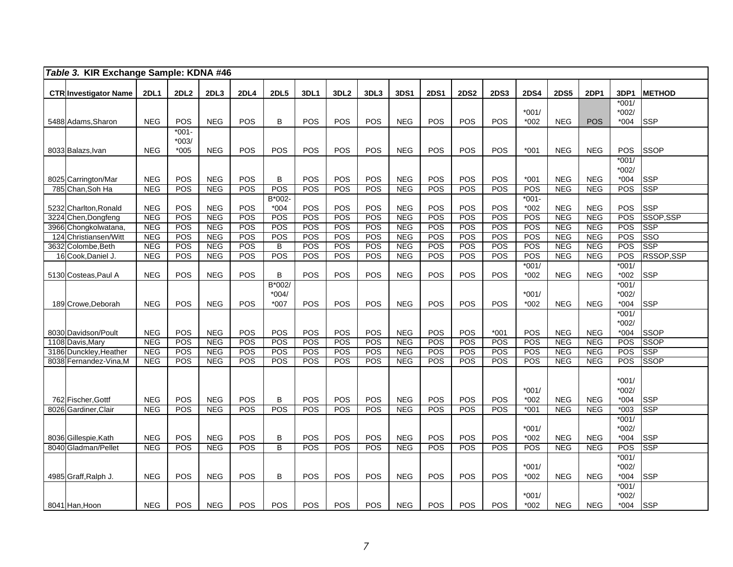| Table 3. KIR Exchange Sample: KDNA #46       |                          |                   |                          |                          |                      |                   |                   |                   |                          |                   |                   |             |                             |                          |                          |                                        |                           |
|----------------------------------------------|--------------------------|-------------------|--------------------------|--------------------------|----------------------|-------------------|-------------------|-------------------|--------------------------|-------------------|-------------------|-------------|-----------------------------|--------------------------|--------------------------|----------------------------------------|---------------------------|
|                                              |                          |                   |                          |                          |                      |                   |                   |                   |                          |                   |                   |             |                             |                          |                          |                                        |                           |
| <b>CTR Investigator Name</b>                 | <b>2DL1</b>              | 2DL <sub>2</sub>  | 2DL3                     | <b>2DL4</b>              | <b>2DL5</b>          | 3DL1              | 3DL <sub>2</sub>  | 3DL3              | 3DS1                     | <b>2DS1</b>       | <b>2DS2</b>       | <b>2DS3</b> | <b>2DS4</b>                 | <b>2DS5</b>              | 2DP1                     | 3DP1<br>$*001/$                        | <b>METHOD</b>             |
|                                              |                          |                   |                          |                          |                      |                   |                   |                   |                          |                   |                   |             | $*001/$                     |                          |                          | $*002/$                                |                           |
| 5488 Adams, Sharon                           | <b>NEG</b>               | POS               | <b>NEG</b>               | POS                      | B                    | POS               | <b>POS</b>        | POS               | <b>NEG</b>               | POS               | POS               | POS         | $*002$                      | <b>NEG</b>               | <b>POS</b>               | $*004$                                 | <b>SSP</b>                |
|                                              |                          | $*001 -$          |                          |                          |                      |                   |                   |                   |                          |                   |                   |             |                             |                          |                          |                                        |                           |
|                                              |                          | $*003/$           |                          |                          |                      |                   |                   |                   |                          |                   |                   |             |                             |                          |                          |                                        |                           |
| 8033 Balazs, Ivan                            | <b>NEG</b>               | $*005$            | <b>NEG</b>               | POS                      | POS                  | POS               | POS               | POS               | <b>NEG</b>               | POS               | POS               | POS         | $*001$                      | <b>NEG</b>               | <b>NEG</b>               | <b>POS</b>                             | <b>SSOP</b>               |
|                                              |                          |                   |                          |                          |                      |                   |                   |                   |                          |                   |                   |             |                             |                          |                          | $*001/$                                |                           |
|                                              |                          |                   |                          |                          |                      |                   |                   |                   |                          |                   |                   |             |                             |                          |                          | $*002/$                                |                           |
| 8025 Carrington/Mar                          | <b>NEG</b>               | POS               | <b>NEG</b>               | POS                      | B                    | POS               | POS               | POS               | <b>NEG</b>               | POS               | POS               | POS         | $*001$                      | <b>NEG</b>               | <b>NEG</b>               | $*004$                                 | <b>SSP</b>                |
| 785 Chan, Soh Ha                             | NEG                      | POS               | <b>NEG</b>               | POS                      | POS                  | POS               | POS               | <b>POS</b>        | NEG                      | POS               | POS               | POS         | POS                         | NEG                      | <b>NEG</b>               | <b>POS</b>                             | <b>SSP</b>                |
|                                              |                          |                   |                          |                          | B*002-               |                   |                   |                   |                          |                   |                   |             | $*001 -$                    |                          |                          |                                        |                           |
| 5232 Charlton, Ronald<br>3224 Chen, Dongfeng | <b>NEG</b><br><b>NEG</b> | POS<br>POS        | <b>NEG</b><br><b>NEG</b> | POS<br>POS               | $*004$<br><b>POS</b> | POS<br>POS        | POS<br>POS        | POS<br>POS        | <b>NEG</b><br><b>NEG</b> | POS<br>POS        | POS<br>POS        | POS<br>POS  | $*002$<br>POS               | <b>NEG</b><br><b>NEG</b> | <b>NEG</b><br><b>NEG</b> | POS<br>POS                             | <b>SSP</b><br>SSOP, SSP   |
| 3966 Chongkolwatana,                         | <b>NEG</b>               | POS               | <b>NEG</b>               | <b>POS</b>               | <b>POS</b>           | POS               | POS               | POS               | <b>NEG</b>               | <b>POS</b>        | <b>POS</b>        | POS         | <b>POS</b>                  | NEG                      | <b>NEG</b>               | POS                                    | <b>SSP</b>                |
| 124 Christiansen/Witt                        | <b>NEG</b>               | POS               | <b>NEG</b>               | POS                      | POS                  | POS               | POS               | POS               | <b>NEG</b>               | POS               | POS               | POS         | POS                         | <b>NEG</b>               | <b>NEG</b>               | POS                                    | SSO                       |
| 3632 Colombe, Beth                           | <b>NEG</b>               | POS               | <b>NEG</b>               | POS                      | $\overline{B}$       | POS               | POS               | POS               | <b>NEG</b>               | <b>POS</b>        | POS               | POS         | <b>POS</b>                  | <b>NEG</b>               | <b>NEG</b>               | POS                                    | <b>SSP</b>                |
| 16 Cook, Daniel J.                           | <b>NEG</b>               | POS               | <b>NEG</b>               | <b>POS</b>               | <b>POS</b>           | POS               | POS               | POS               | <b>NEG</b>               | <b>POS</b>        | <b>POS</b>        | POS         | <b>POS</b>                  | <b>NEG</b>               | <b>NEG</b>               | POS                                    | RSSOP, SSP                |
|                                              |                          |                   |                          |                          |                      |                   |                   |                   |                          |                   |                   |             | $*001/$                     |                          |                          | $*001/$                                |                           |
| 5130 Costeas, Paul A                         | <b>NEG</b>               | <b>POS</b>        | <b>NEG</b>               | POS                      | B                    | <b>POS</b>        | <b>POS</b>        | POS               | <b>NEG</b>               | POS               | <b>POS</b>        | POS         | $*002$                      | <b>NEG</b>               | <b>NEG</b>               | $*002$                                 | SSP                       |
|                                              |                          |                   |                          |                          | B*002/               |                   |                   |                   |                          |                   |                   |             |                             |                          |                          | $*001/$                                |                           |
|                                              |                          |                   |                          |                          | $*004/$              |                   |                   |                   |                          |                   |                   |             | $*001/$                     |                          |                          | $*002/$                                |                           |
| 189 Crowe, Deborah                           | <b>NEG</b>               | <b>POS</b>        | <b>NEG</b>               | POS                      | $*007$               | POS               | POS               | POS               | <b>NEG</b>               | <b>POS</b>        | <b>POS</b>        | POS         | $*002$                      | <b>NEG</b>               | <b>NEG</b>               | $*004$                                 | <b>SSP</b>                |
|                                              |                          |                   |                          |                          |                      |                   |                   |                   |                          |                   |                   |             |                             |                          |                          | $*001/$                                |                           |
|                                              |                          |                   |                          |                          |                      |                   |                   |                   |                          |                   |                   |             |                             |                          |                          | $*002/$                                |                           |
| 8030 Davidson/Poult                          | <b>NEG</b>               | POS               | <b>NEG</b>               | POS                      | POS                  | POS               | POS               | POS               | <b>NEG</b>               | POS               | POS               | $*001$      | POS                         | <b>NEG</b>               | <b>NEG</b>               | $*004$                                 | <b>SSOP</b>               |
| 1108 Davis, Mary<br>3186 Dunckley, Heather   | <b>NEG</b><br><b>NEG</b> | POS<br>POS        | <b>NEG</b><br><b>NEG</b> | <b>POS</b><br><b>POS</b> | POS<br>POS           | POS<br>POS        | POS<br><b>POS</b> | POS<br><b>POS</b> | <b>NEG</b><br><b>NEG</b> | POS<br><b>POS</b> | POS<br><b>POS</b> | POS<br>POS  | <b>POS</b><br>POS           | <b>NEG</b><br><b>NEG</b> | <b>NEG</b><br><b>NEG</b> | POS<br>POS                             | <b>SSOP</b><br><b>SSP</b> |
| 8038 Fernandez-Vina, M                       | <b>NEG</b>               | POS               | <b>NEG</b>               | POS                      | <b>POS</b>           | POS               | POS               | POS               | <b>NEG</b>               | POS               | <b>POS</b>        | POS         | POS                         | <b>NEG</b>               | <b>NEG</b>               | POS                                    | <b>SSOP</b>               |
|                                              |                          |                   |                          |                          |                      |                   |                   |                   |                          |                   |                   |             |                             |                          |                          |                                        |                           |
|                                              |                          |                   |                          |                          |                      |                   |                   |                   |                          |                   |                   |             |                             |                          |                          | $*001/$                                |                           |
|                                              |                          |                   |                          |                          |                      |                   |                   |                   |                          |                   |                   |             | $*001/$                     |                          |                          | $*002/$                                |                           |
| 762 Fischer, Gottf                           | <b>NEG</b>               | POS               | <b>NEG</b>               | POS                      | B                    | POS               | POS               | <b>POS</b>        | <b>NEG</b>               | <b>POS</b>        | POS               | POS         | $*002$                      | <b>NEG</b>               | <b>NEG</b>               | $*004$                                 | <b>SSP</b>                |
| 8026 Gardiner, Clair                         | <b>NEG</b>               | POS               | <b>NEG</b>               | POS                      | POS                  | POS               | POS               | <b>POS</b>        | <b>NEG</b>               | POS               | <b>POS</b>        | POS         | $*001$                      | <b>NEG</b>               | <b>NEG</b>               | $*003$                                 | <b>SSP</b>                |
|                                              |                          |                   |                          |                          |                      |                   |                   |                   |                          |                   |                   |             |                             |                          |                          | $*001/$                                |                           |
|                                              |                          |                   |                          |                          |                      |                   |                   |                   |                          |                   |                   |             | $*001/$                     |                          |                          | $*002/$                                |                           |
| 8036 Gillespie, Kath                         | <b>NEG</b>               | POS               | <b>NEG</b>               | <b>POS</b>               | B                    | POS               | POS               | POS               | <b>NEG</b>               | POS               | POS               | POS         | $*002$                      | <b>NEG</b>               | <b>NEG</b>               | $*004$                                 | <b>SSP</b>                |
| 8040 Gladman/Pellet                          | <b>NEG</b>               | POS               | <b>NEG</b>               | POS                      | В                    | POS               | <b>POS</b>        | POS               | <b>NEG</b>               | POS               | POS               | POS         | POS                         | <b>NEG</b>               | <b>NEG</b>               | <b>POS</b>                             | <b>SSP</b>                |
|                                              |                          |                   |                          |                          |                      |                   |                   |                   |                          |                   |                   |             |                             |                          |                          | $*001/$                                |                           |
|                                              |                          |                   |                          |                          |                      |                   |                   |                   |                          |                   |                   |             | $*001/$                     |                          |                          | $*002/$                                |                           |
|                                              |                          |                   |                          |                          |                      |                   |                   |                   |                          |                   |                   |             |                             |                          |                          |                                        |                           |
|                                              |                          |                   |                          |                          |                      |                   |                   |                   |                          |                   |                   |             |                             |                          |                          |                                        |                           |
|                                              | <b>NEG</b>               |                   |                          |                          |                      |                   |                   |                   |                          |                   |                   |             |                             |                          |                          |                                        |                           |
| 4985 Graff, Ralph J.<br>8041 Han, Hoon       | <b>NEG</b>               | <b>POS</b><br>POS | <b>NEG</b><br><b>NEG</b> | <b>POS</b><br>POS        | B<br>POS             | <b>POS</b><br>POS | <b>POS</b><br>POS | <b>POS</b><br>POS | <b>NEG</b><br><b>NEG</b> | <b>POS</b><br>POS | <b>POS</b><br>POS | POS<br>POS  | $*002$<br>$*001/$<br>$*002$ | <b>NEG</b><br><b>NEG</b> | <b>NEG</b><br><b>NEG</b> | $*004$<br>$*001/$<br>$*002/$<br>$*004$ | <b>SSP</b><br><b>SSP</b>  |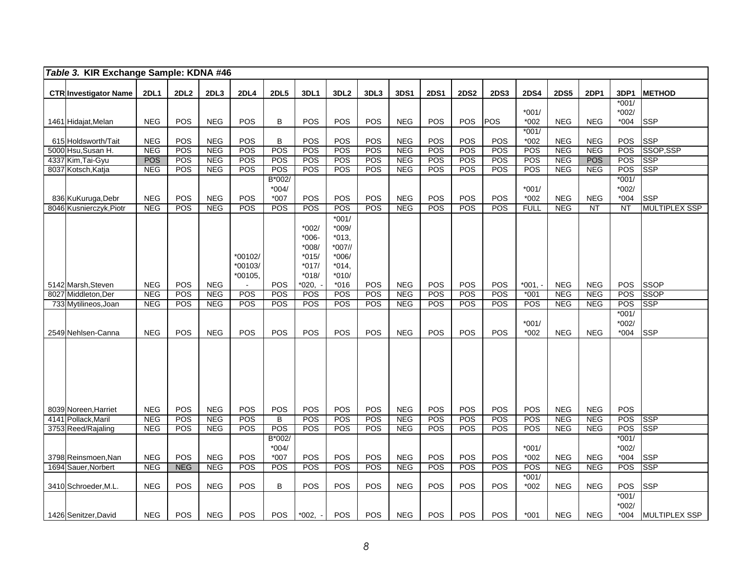| Table 3. KIR Exchange Sample: KDNA #46  |                          |            |                          |             |                |                    |                  |            |                          |             |                   |             |                          |                          |                          |                   |                         |
|-----------------------------------------|--------------------------|------------|--------------------------|-------------|----------------|--------------------|------------------|------------|--------------------------|-------------|-------------------|-------------|--------------------------|--------------------------|--------------------------|-------------------|-------------------------|
|                                         | <b>2DL1</b>              | 2DL2       | 2DL3                     | <b>2DL4</b> | <b>2DL5</b>    | 3DL1               | 3DL <sub>2</sub> | 3DL3       | 3DS1                     | <b>2DS1</b> | <b>2DS2</b>       | <b>2DS3</b> | <b>2DS4</b>              | <b>2DS5</b>              | 2DP1                     | 3DP1              | <b>METHOD</b>           |
| <b>CTR Investigator Name</b>            |                          |            |                          |             |                |                    |                  |            |                          |             |                   |             |                          |                          |                          | $*001/$           |                         |
|                                         |                          |            |                          |             |                |                    |                  |            |                          |             |                   |             | $*001/$                  |                          |                          | $*002/$           |                         |
| 1461 Hidajat, Melan                     | <b>NEG</b>               | POS        | <b>NEG</b>               | <b>POS</b>  | B              | POS                | <b>POS</b>       | POS        | <b>NEG</b>               | POS         | <b>POS</b>        | POS         | $*002$                   | <b>NEG</b>               | <b>NEG</b>               | $*004$            | <b>SSP</b>              |
|                                         |                          |            |                          |             |                |                    |                  |            |                          |             |                   |             | $*001/$                  |                          |                          |                   |                         |
| 615 Holdsworth/Tait                     | <b>NEG</b>               | POS        | <b>NEG</b>               | <b>POS</b>  | B              | POS                | <b>POS</b>       | POS        | <b>NEG</b>               | POS         | <b>POS</b>        | POS         | $*002$                   | <b>NEG</b>               | <b>NEG</b>               | POS               | <b>SSP</b>              |
| 5000 Hsu, Susan H.<br>4337 Kim, Tai-Gyu | <b>NEG</b><br><b>POS</b> | POS<br>POS | <b>NEG</b><br><b>NEG</b> | POS<br>POS  | POS<br>POS     | POS<br>POS         | POS<br>POS       | POS<br>POS | <b>NEG</b><br><b>NEG</b> | POS<br>POS  | <b>POS</b><br>POS | POS<br>POS  | <b>POS</b><br><b>POS</b> | <b>NEG</b><br><b>NEG</b> | <b>NEG</b><br><b>POS</b> | POS<br>POS        | SSOP, SSP<br><b>SSP</b> |
| 8037 Kotsch, Katja                      | <b>NEG</b>               | POS        | <b>NEG</b>               | POS         | POS            | POS                | <b>POS</b>       | POS        | <b>NEG</b>               | POS         | POS               | POS         | POS                      | <b>NEG</b>               | <b>NEG</b>               | <b>POS</b>        | <b>SSP</b>              |
|                                         |                          |            |                          |             | B*002/         |                    |                  |            |                          |             |                   |             |                          |                          |                          | $*001/$           |                         |
|                                         |                          |            |                          |             | $*004/$        |                    |                  |            |                          |             |                   |             | $*001/$                  |                          |                          | $*002/$           |                         |
| 836 KuKuruga, Debr                      | <b>NEG</b>               | POS        | <b>NEG</b>               | <b>POS</b>  | $*007$         | POS                | POS              | POS        | <b>NEG</b>               | POS         | POS               | POS         | $*002$                   | <b>NEG</b>               | <b>NEG</b>               | $*004$            | <b>SSP</b>              |
| 8046 Kusnierczyk, Piotr                 | <b>NEG</b>               | POS        | <b>NEG</b>               | POS         | POS            | POS                | POS              | POS        | <b>NEG</b>               | <b>POS</b>  | <b>POS</b>        | POS         | <b>FULL</b>              | <b>NEG</b>               | <b>NT</b>                | $\overline{NT}$   | <b>MULTIPLEX SSP</b>    |
|                                         |                          |            |                          |             |                |                    | $*001/$          |            |                          |             |                   |             |                          |                          |                          |                   |                         |
|                                         |                          |            |                          |             |                | $*002/$<br>$*006-$ | $*009/$<br>*013, |            |                          |             |                   |             |                          |                          |                          |                   |                         |
|                                         |                          |            |                          |             |                | $*008/$            | *007//           |            |                          |             |                   |             |                          |                          |                          |                   |                         |
|                                         |                          |            |                          | *00102/     |                | $*015/$            | $*006/$          |            |                          |             |                   |             |                          |                          |                          |                   |                         |
|                                         |                          |            |                          | *00103/     |                | $*017/$            | *014.            |            |                          |             |                   |             |                          |                          |                          |                   |                         |
|                                         |                          |            |                          | *00105.     |                | $*018/$            | $*010/$          |            |                          |             |                   |             |                          |                          |                          |                   |                         |
| 5142 Marsh, Steven                      | <b>NEG</b>               | POS        | <b>NEG</b>               |             | POS            | *020,              | $*016$           | POS        | <b>NEG</b>               | <b>POS</b>  | POS               | POS         | $*001. -$                | <b>NEG</b>               | <b>NEG</b>               | <b>POS</b>        | <b>SSOP</b>             |
| 8027 Middleton, Der                     | <b>NEG</b>               | POS        | <b>NEG</b>               | POS         | POS            | POS                | POS              | POS        | <b>NEG</b>               | POS         | <b>POS</b>        | POS         | $*001$                   | <b>NEG</b>               | <b>NEG</b>               | POS               | <b>SSOP</b>             |
| 733 Mytilineos, Joan                    | <b>NEG</b>               | POS        | <b>NEG</b>               | POS         | POS            | POS                | <b>POS</b>       | POS        | <b>NEG</b>               | <b>POS</b>  | POS               | POS         | <b>POS</b>               | <b>NEG</b>               | <b>NEG</b>               | POS               | <b>SSP</b>              |
|                                         |                          |            |                          |             |                |                    |                  |            |                          |             |                   |             |                          |                          |                          | $*001/$           |                         |
| 2549 Nehlsen-Canna                      | <b>NEG</b>               | POS        | <b>NEG</b>               | POS         | POS            | POS                | POS              | POS        | <b>NEG</b>               | <b>POS</b>  | POS               | POS         | $*001/$<br>$*002$        | <b>NEG</b>               | <b>NEG</b>               | $*002/$<br>$*004$ | <b>SSP</b>              |
|                                         |                          |            |                          |             |                |                    |                  |            |                          |             |                   |             |                          |                          |                          |                   |                         |
|                                         |                          |            |                          |             |                |                    |                  |            |                          |             |                   |             |                          |                          |                          |                   |                         |
|                                         |                          |            |                          |             |                |                    |                  |            |                          |             |                   |             |                          |                          |                          |                   |                         |
|                                         |                          |            |                          |             |                |                    |                  |            |                          |             |                   |             |                          |                          |                          |                   |                         |
|                                         |                          |            |                          |             |                |                    |                  |            |                          |             |                   |             |                          |                          |                          |                   |                         |
|                                         |                          |            |                          |             |                |                    |                  |            |                          |             |                   |             |                          |                          |                          |                   |                         |
|                                         |                          |            |                          |             |                |                    |                  |            |                          |             |                   |             |                          |                          |                          |                   |                         |
| 8039 Noreen, Harriet                    | <b>NEG</b>               | POS        | <b>NEG</b>               | <b>POS</b>  | POS            | POS                | POS              | POS        | <b>NEG</b>               | POS         | POS               | POS         | POS                      | <b>NEG</b>               | <b>NEG</b>               | POS               |                         |
| 4141 Pollack, Maril                     | <b>NEG</b>               | POS        | <b>NEG</b>               | <b>POS</b>  | $\overline{B}$ | POS                | <b>POS</b>       | <b>POS</b> | NEG                      | POS         | POS               | <b>POS</b>  | POS                      | <b>NEG</b>               | <b>NEG</b>               | <b>POS</b>        | <b>SSP</b>              |
| 3753 Reed/Rajaling                      | <b>NEG</b>               | POS        | <b>NEG</b>               | <b>POS</b>  | POS<br>B*002/  | POS                | POS              | POS        | <b>NEG</b>               | <b>POS</b>  | POS               | POS         | POS                      | <b>NEG</b>               | <b>NEG</b>               | POS<br>$*001/$    | <b>SSP</b>              |
|                                         |                          |            |                          |             | $*004/$        |                    |                  |            |                          |             |                   |             | $*001/$                  |                          |                          | $*002/$           |                         |
| 3798 Reinsmoen, Nan                     | <b>NEG</b>               | POS        | <b>NEG</b>               | POS         | $*007$         | POS                | POS              | POS        | <b>NEG</b>               | POS         | POS               | POS         | *002                     | <b>NEG</b>               | <b>NEG</b>               | $*004$            | <b>SSP</b>              |
| 1694 Sauer, Norbert                     | <b>NEG</b>               | <b>NEG</b> | <b>NEG</b>               | POS         | POS            | POS                | POS              | POS        | <b>NEG</b>               | POS         | <b>POS</b>        | POS         | POS                      | NEG                      | NEG                      | POS               | <b>SSP</b>              |
|                                         |                          |            |                          |             |                |                    |                  |            |                          |             |                   |             | $*001/$                  |                          |                          |                   |                         |
| 3410 Schroeder, M.L                     | <b>NEG</b>               | POS        | <b>NEG</b>               | POS         | B              | POS                | POS              | <b>POS</b> | <b>NEG</b>               | POS         | POS               | POS         | $*002$                   | <b>NEG</b>               | <b>NEG</b>               | POS               | <b>SSP</b>              |
|                                         |                          |            |                          |             |                |                    |                  |            |                          |             |                   |             |                          |                          |                          | $*001/$           |                         |
|                                         |                          |            |                          |             |                |                    |                  |            |                          |             |                   |             |                          |                          |                          | $*002/$           |                         |
| 1426 Senitzer, David                    | <b>NEG</b>               | <b>POS</b> | <b>NEG</b>               | POS         | <b>POS</b>     | $*002,$            | POS              | <b>POS</b> | <b>NEG</b>               | <b>POS</b>  | <b>POS</b>        | POS         | $*001$                   | <b>NEG</b>               | <b>NEG</b>               | $*004$            | <b>MULTIPLEX SSP</b>    |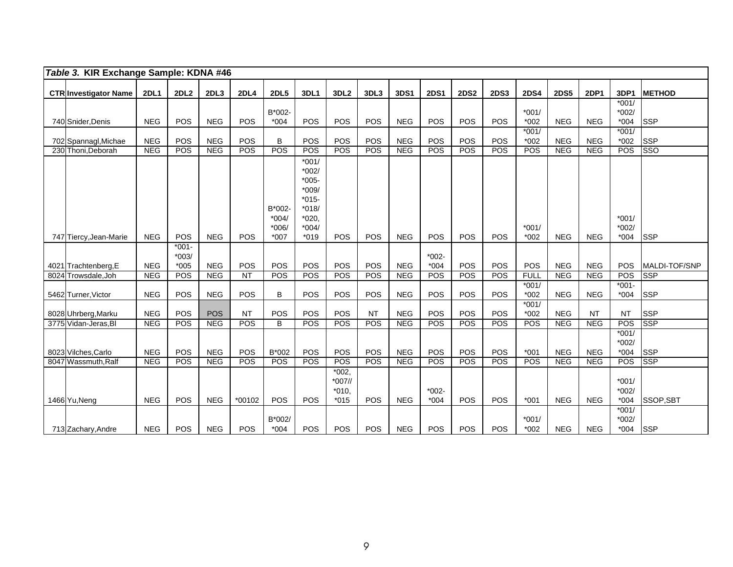| Table 3. KIR Exchange Sample: KDNA #46 |             |                   |            |             |                                        |                                                                                              |                                           |            |             |                    |             |             |                   |             |             |                              |               |
|----------------------------------------|-------------|-------------------|------------|-------------|----------------------------------------|----------------------------------------------------------------------------------------------|-------------------------------------------|------------|-------------|--------------------|-------------|-------------|-------------------|-------------|-------------|------------------------------|---------------|
| <b>CTR Investigator Name</b>           | <b>2DL1</b> | 2DL2              | 2DL3       | <b>2DL4</b> | <b>2DL5</b>                            | <b>3DL1</b>                                                                                  | 3DL <sub>2</sub>                          | 3DL3       | <b>3DS1</b> | <b>2DS1</b>        | <b>2DS2</b> | <b>2DS3</b> | <b>2DS4</b>       | <b>2DS5</b> | <b>2DP1</b> | 3DP1                         | <b>METHOD</b> |
|                                        |             |                   |            |             |                                        |                                                                                              |                                           |            |             |                    |             |             |                   |             |             | $*001/$                      |               |
|                                        |             |                   |            |             | B*002-                                 |                                                                                              |                                           |            |             |                    |             |             | $*001/$           |             |             | $*002/$                      |               |
| 740 Snider, Denis                      | <b>NEG</b>  | <b>POS</b>        | <b>NEG</b> | <b>POS</b>  | $*004$                                 | POS                                                                                          | <b>POS</b>                                | <b>POS</b> | <b>NEG</b>  | POS                | POS         | POS         | $*002$            | <b>NEG</b>  | <b>NEG</b>  | $*004$                       | <b>SSP</b>    |
| 702 Spannagl, Michae                   | <b>NEG</b>  | POS               | <b>NEG</b> | POS         | B                                      | POS                                                                                          | POS                                       | POS        | <b>NEG</b>  | POS                | POS         | POS         | $*001/$<br>$*002$ | <b>NEG</b>  | <b>NEG</b>  | $*001/$<br>$*002$            | <b>SSP</b>    |
| 230 Thoni, Deborah                     | NEG         | POS               | NEG        | POS         | POS                                    | POS                                                                                          | POS                                       | <b>POS</b> | NEG         | POS                | POS         | <b>POS</b>  | POS               | NEG         | <b>NEG</b>  | POS                          | <b>SSO</b>    |
| 747 Tiercy, Jean-Marie                 | <b>NEG</b>  | POS               | <b>NEG</b> | POS         | B*002-<br>$*004/$<br>$*006/$<br>$*007$ | $*001/$<br>$*002/$<br>$*005-$<br>$*009/$<br>$*015-$<br>$*018/$<br>*020,<br>$*004/$<br>$*019$ | POS                                       | POS        | <b>NEG</b>  | POS                | POS         | POS         | $*001/$<br>$*002$ | <b>NEG</b>  | <b>NEG</b>  | $*001/$<br>$*002/$<br>$*004$ | <b>SSP</b>    |
|                                        |             | $*001 -$          |            |             |                                        |                                                                                              |                                           |            |             |                    |             |             |                   |             |             |                              |               |
| 4021 Trachtenberg, E                   | <b>NEG</b>  | $*003/$<br>$*005$ | <b>NEG</b> | POS         | POS                                    | POS                                                                                          | POS                                       | POS        | <b>NEG</b>  | $*002 -$<br>$*004$ | POS         | POS         | <b>POS</b>        | <b>NEG</b>  | <b>NEG</b>  | POS                          | MALDI-TOF/SNP |
| 8024 Trowsdale, Joh                    | <b>NEG</b>  | POS               | <b>NEG</b> | NT          | POS                                    | POS                                                                                          | POS                                       | POS        | <b>NEG</b>  | POS                | POS         | POS         | <b>FULL</b>       | <b>NEG</b>  | <b>NEG</b>  | POS                          | <b>SSP</b>    |
| 5462 Turner, Victor                    | <b>NEG</b>  | <b>POS</b>        | <b>NEG</b> | POS         | B                                      | POS                                                                                          | POS                                       | POS        | <b>NEG</b>  | POS                | POS         | POS         | $*001/$<br>$*002$ | <b>NEG</b>  | <b>NEG</b>  | $*001 -$<br>$*004$           | <b>SSP</b>    |
|                                        |             |                   |            |             |                                        |                                                                                              |                                           |            |             |                    |             |             | $*001/$           |             |             |                              |               |
| 8028 Uhrberg, Marku                    | <b>NEG</b>  | POS               | <b>POS</b> | <b>NT</b>   | POS                                    | POS                                                                                          | POS                                       | <b>NT</b>  | <b>NEG</b>  | POS                | POS         | POS         | $*002$            | <b>NEG</b>  | <b>NT</b>   | <b>NT</b>                    | <b>SSP</b>    |
| 3775 Vidan-Jeras, BI                   | <b>NEG</b>  | POS               | <b>NEG</b> | POS         | B                                      | POS                                                                                          | POS                                       | POS        | <b>NEG</b>  | POS                | POS         | POS         | POS               | <b>NEG</b>  | <b>NEG</b>  | POS                          | <b>SSP</b>    |
| 8023 Vilches, Carlo                    | <b>NEG</b>  | POS               | <b>NEG</b> | POS         | B*002                                  | POS                                                                                          | POS                                       | POS        | <b>NEG</b>  | POS                | POS         | POS         | $*001$            | <b>NEG</b>  | <b>NEG</b>  | $*001/$<br>$*002/$<br>$*004$ | <b>SSP</b>    |
| 8047 Wassmuth.Ralf                     | <b>NEG</b>  | POS               | <b>NEG</b> | POS         | <b>POS</b>                             | <b>POS</b>                                                                                   | <b>POS</b>                                | <b>POS</b> | <b>NEG</b>  | POS                | POS         | POS         | POS               | NEG         | <b>NEG</b>  | POS                          | <b>SSP</b>    |
| 1466 Yu, Neng                          | <b>NEG</b>  | POS               | <b>NEG</b> | *00102      | <b>POS</b>                             | POS                                                                                          | $*002.$<br>$*007$ //<br>$*010.$<br>$*015$ | POS        | <b>NEG</b>  | $*002 -$<br>$*004$ | POS         | POS         | $*001$            | <b>NEG</b>  | <b>NEG</b>  | $*001/$<br>$*002/$<br>$*004$ | SSOP, SBT     |
| 713 Zachary, Andre                     | <b>NEG</b>  | <b>POS</b>        | <b>NEG</b> | <b>POS</b>  | B*002/<br>$*004$                       | <b>POS</b>                                                                                   | <b>POS</b>                                | <b>POS</b> | <b>NEG</b>  | <b>POS</b>         | <b>POS</b>  | POS         | $*001/$<br>$*002$ | <b>NEG</b>  | <b>NEG</b>  | $*001/$<br>$*002/$<br>$*004$ | <b>SSP</b>    |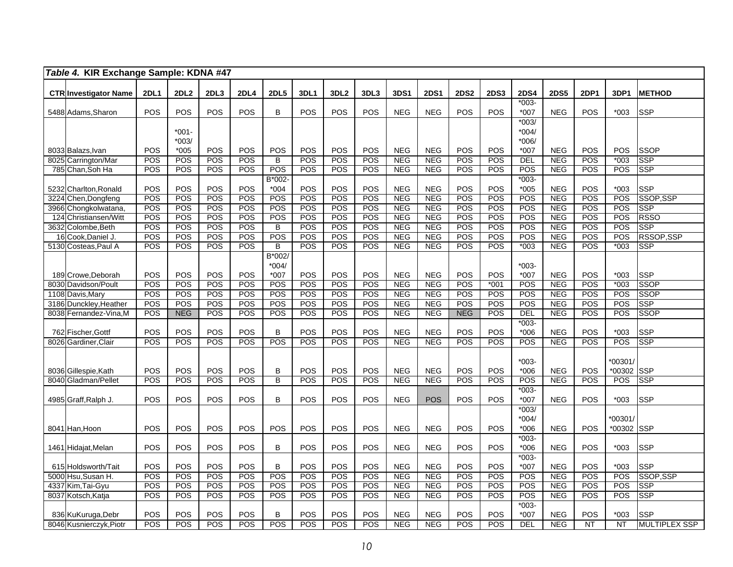|      | Table 4. KIR Exchange Sample: KDNA #47      |                   |                  |            |             |              |            |                          |            |                          |                          |                          |             |                        |                          |            |                          |                           |
|------|---------------------------------------------|-------------------|------------------|------------|-------------|--------------|------------|--------------------------|------------|--------------------------|--------------------------|--------------------------|-------------|------------------------|--------------------------|------------|--------------------------|---------------------------|
|      |                                             |                   |                  |            |             |              |            |                          |            |                          |                          |                          |             |                        |                          |            |                          |                           |
|      | <b>CTR Investigator Name</b>                | <b>2DL1</b>       | <b>2DL2</b>      | 2DL3       | <b>2DL4</b> | <b>2DL5</b>  | 3DL1       | 3DL <sub>2</sub>         | 3DL3       | 3DS1                     | <b>2DS1</b>              | <b>2DS2</b>              | <b>2DS3</b> | <b>2DS4</b><br>$*003-$ | <b>2DS5</b>              | 2DP1       | 3DP1                     | <b>METHOD</b>             |
|      | 5488 Adams, Sharon                          | POS               | <b>POS</b>       | POS        | <b>POS</b>  | B            | POS        | <b>POS</b>               | POS        | <b>NEG</b>               | <b>NEG</b>               | <b>POS</b>               | <b>POS</b>  | $*007$                 | <b>NEG</b>               | <b>POS</b> | $*003$                   | <b>SSP</b>                |
|      |                                             |                   |                  |            |             |              |            |                          |            |                          |                          |                          |             | $*003/$                |                          |            |                          |                           |
|      |                                             |                   | $*001 -$         |            |             |              |            |                          |            |                          |                          |                          |             | $*004/$                |                          |            |                          |                           |
|      |                                             |                   | $*003/$          |            |             |              |            |                          |            |                          |                          |                          |             | $*006/$                |                          |            |                          |                           |
|      | 8033 Balazs, Ivan                           | POS               | *005             | POS        | POS         | POS          | POS        | <b>POS</b>               | POS        | <b>NEG</b>               | <b>NEG</b>               | <b>POS</b>               | POS         | $*007$                 | <b>NEG</b>               | POS        | POS                      | <b>SSOP</b>               |
|      | 8025 Carrington/Mar                         | POS               | POS              | POS        | POS         | B            | POS        | POS                      | POS        | <b>NEG</b>               | <b>NEG</b>               | POS                      | POS         | DEL                    | <b>NEG</b>               | POS        | $*003$                   | <b>SSP</b>                |
|      | 785 Chan, Soh Ha                            | POS               | POS              | POS        | POS         | POS          | POS        | POS                      | POS        | <b>NEG</b>               | <b>NEG</b>               | POS                      | POS         | POS                    | <b>NEG</b>               | POS        | POS                      | <b>SSP</b>                |
|      |                                             |                   |                  |            |             | B*002-       |            |                          |            |                          |                          |                          |             | $*003-$                |                          |            |                          |                           |
|      | 5232 Charlton, Ronald                       | POS               | POS              | POS        | POS         | $*004$       | POS        | POS                      | POS        | <b>NEG</b>               | <b>NEG</b>               | POS                      | POS         | $*005$                 | <b>NEG</b>               | POS        | $*003$                   | <b>SSP</b>                |
| 3224 | Chen, Dongfeng                              | POS               | POS              | POS        | POS         | POS          | POS        | POS                      | POS        | <b>NEG</b>               | <b>NEG</b>               | POS                      | POS         | POS                    | <b>NEG</b>               | POS        | POS                      | SSOP, SSP                 |
|      | 3966 Chongkolwatana                         | POS               | <b>POS</b>       | POS        | POS         | POS          | POS        | <b>POS</b>               | <b>POS</b> | <b>NEG</b>               | <b>NEG</b>               | POS                      | POS         | POS                    | <b>NEG</b>               | POS        | POS                      | <b>SSP</b>                |
|      | 124 Christiansen/Witt                       | <b>POS</b><br>POS | POS<br>POS       | POS<br>POS | POS<br>POS  | POS<br>B     | POS<br>POS | <b>POS</b><br><b>POS</b> | POS<br>POS | <b>NEG</b><br><b>NEG</b> | <b>NEG</b><br><b>NEG</b> | <b>POS</b><br><b>POS</b> | POS<br>POS  | POS<br>POS             | <b>NEG</b><br><b>NEG</b> | POS<br>POS | POS<br>POS               | <b>RSSO</b><br><b>SSP</b> |
|      | 3632 Colombe, Beth<br>16 Cook, Daniel J.    | <b>POS</b>        | POS              | POS        | POS         | POS          | POS        | POS                      | POS        | <b>NEG</b>               | <b>NEG</b>               | POS                      | POS         | POS                    | <b>NEG</b>               | POS        | POS                      | RSSOP, SSP                |
|      | 5130 Costeas, Paul A                        | <b>POS</b>        | POS              | POS        | POS         | B            | POS        | <b>POS</b>               | POS        | <b>NEG</b>               | <b>NEG</b>               | <b>POS</b>               | POS         | $*003$                 | <b>NEG</b>               | POS        | $*003$                   | <b>SSP</b>                |
|      |                                             |                   |                  |            |             | B*002/       |            |                          |            |                          |                          |                          |             |                        |                          |            |                          |                           |
|      |                                             |                   |                  |            |             | $*004/$      |            |                          |            |                          |                          |                          |             | $*003-$                |                          |            |                          |                           |
|      | 189 Crowe, Deborah                          | POS               | POS              | POS        | POS         | *007         | POS        | POS                      | POS        | <b>NEG</b>               | <b>NEG</b>               | POS                      | POS         | $*007$                 | <b>NEG</b>               | POS        | $*003$                   | <b>SSP</b>                |
|      | 8030 Davidson/Poult                         | POS               | POS              | POS        | POS         | POS          | POS        | POS                      | POS        | NEG                      | <b>NEG</b>               | POS                      | $*001$      | POS                    | <b>NEG</b>               | POS        | $*003$                   | <b>SSOP</b>               |
|      | 1108 Davis, Mary                            | POS               | POS              | POS        | POS         | POS          | POS        | POS                      | POS        | <b>NEG</b>               | <b>NEG</b>               | POS                      | POS         | <b>POS</b>             | <b>NEG</b>               | POS        | POS                      | <b>SSOP</b>               |
|      | 3186 Dunckley, Heather                      | POS               | POS              | POS        | POS         | POS          | POS        | POS                      | POS        | NEG                      | <b>NEG</b>               | POS                      | POS         | POS                    | <b>NEG</b>               | POS        | POS                      | <b>SSP</b>                |
|      | 8038 Fernandez-Vina, M                      | POS               | <b>NEG</b>       | POS        | POS         | POS          | POS        | POS                      | POS        | <b>NEG</b>               | <b>NEG</b>               | <b>NEG</b>               | POS         | DEL                    | <b>NEG</b>               | POS        | POS                      | <b>SSOP</b>               |
|      |                                             |                   |                  |            |             |              |            |                          |            |                          |                          |                          |             | $*003-$                |                          |            |                          |                           |
|      | 762 Fischer, Gottf                          | POS               | POS              | POS        | POS         | B            | POS        | POS                      | POS        | <b>NEG</b>               | <b>NEG</b>               | POS                      | POS         | $*006$                 | <b>NEG</b>               | POS        | $*003$                   | <b>SSP</b>                |
|      | 8026 Gardiner, Clair                        | POS               | $\overline{POS}$ | POS        | POS         | POS          | POS        | POS                      | POS        | <b>NEG</b>               | <b>NEG</b>               | POS                      | POS         | POS                    | <b>NEG</b>               | POS        | POS                      | <b>SSP</b>                |
|      |                                             |                   |                  |            |             |              |            |                          |            |                          |                          |                          |             |                        |                          |            |                          |                           |
|      |                                             |                   |                  |            |             |              |            |                          |            |                          |                          |                          |             | $*003-$                |                          |            | *00301/                  |                           |
|      | 8036 Gillespie, Kath<br>8040 Gladman/Pellet | POS<br>POS        | POS<br>POS       | POS<br>POS | POS<br>POS  | $\sf B$<br>B | POS<br>POS | POS<br><b>POS</b>        | POS<br>POS | <b>NEG</b><br><b>NEG</b> | <b>NEG</b><br><b>NEG</b> | POS<br>POS               | POS<br>POS  | $*006$<br>POS          | <b>NEG</b><br><b>NEG</b> | POS<br>POS | *00302 SSP<br><b>POS</b> | <b>SSP</b>                |
|      |                                             |                   |                  |            |             |              |            |                          |            |                          |                          |                          |             | $*003-$                |                          |            |                          |                           |
|      | 4985 Graff, Ralph J.                        | POS               | POS              | POS        | POS         | B            | POS        | POS                      | POS        | <b>NEG</b>               | <b>POS</b>               | POS                      | <b>POS</b>  | $*007$                 | <b>NEG</b>               | <b>POS</b> | $*003$                   | <b>SSP</b>                |
|      |                                             |                   |                  |            |             |              |            |                          |            |                          |                          |                          |             | $*003/$                |                          |            |                          |                           |
|      |                                             |                   |                  |            |             |              |            |                          |            |                          |                          |                          |             | $*004/$                |                          |            | $*00301$                 |                           |
|      | 8041 Han, Hoon                              | POS               | POS              | POS        | POS         | POS          | POS        | POS                      | POS        | <b>NEG</b>               | <b>NEG</b>               | POS                      | POS         | $*006$                 | <b>NEG</b>               | POS        | *00302                   | <b>SSP</b>                |
|      |                                             |                   |                  |            |             |              |            |                          |            |                          |                          |                          |             | $*003-$                |                          |            |                          |                           |
|      | 1461 Hidajat, Melan                         | POS               | POS              | POS        | POS         | B            | POS        | POS                      | POS        | <b>NEG</b>               | <b>NEG</b>               | POS                      | POS         | $*006$                 | <b>NEG</b>               | POS        | $*003$                   | <b>SSP</b>                |
|      |                                             |                   |                  |            |             |              |            |                          |            |                          |                          |                          |             | $*003-$                |                          |            |                          |                           |
|      | 615 Holdsworth/Tait                         | POS               | POS              | POS        | <b>POS</b>  | B            | POS        | <b>POS</b>               | POS        | <b>NEG</b>               | <b>NEG</b>               | POS                      | POS         | $*007$                 | <b>NEG</b>               | POS        | $*003$                   | <b>SSP</b>                |
|      | 5000 Hsu, Susan H.                          | POS               | POS              | POS        | POS         | POS          | POS        | POS                      | POS        | <b>NEG</b>               | <b>NEG</b>               | POS                      | POS         | $\overline{POS}$       | <b>NEG</b>               | POS        | POS                      | SSOP,SSP                  |
|      | 4337 Kim, Tai-Gyu                           | <b>POS</b>        | POS              | POS        | POS         | POS          | POS        | <b>POS</b>               | POS        | <b>NEG</b>               | <b>NEG</b>               | POS                      | POS         | POS                    | <b>NEG</b>               | POS        | POS                      | <b>SSP</b>                |
|      | 8037 Kotsch, Katja                          | POS               | POS              | POS        | POS         | POS          | POS        | POS                      | POS        | <b>NEG</b>               | <b>NEG</b>               | POS                      | POS         | POS                    | <b>NEG</b>               | POS        | POS                      | <b>SSP</b>                |
|      |                                             |                   |                  |            |             |              |            |                          |            |                          |                          |                          |             | $*003-$                |                          |            |                          |                           |
|      | 836 KuKuruga, Debr                          | POS               | POS              | POS        | POS         | B            | POS        | <b>POS</b>               | POS        | <b>NEG</b>               | <b>NEG</b>               | POS                      | POS         | $*007$                 | <b>NEG</b>               | POS        | $*003$                   | <b>SSP</b>                |
|      | 8046 Kusnierczyk, Piotr                     | <b>POS</b>        | <b>POS</b>       | POS        | POS         | POS          | POS        | <b>POS</b>               | POS        | <b>NEG</b>               | <b>NEG</b>               | <b>POS</b>               | POS         | DEL                    | <b>NEG</b>               | <b>NT</b>  | <b>NT</b>                | <b>MULTIPLEX SSP</b>      |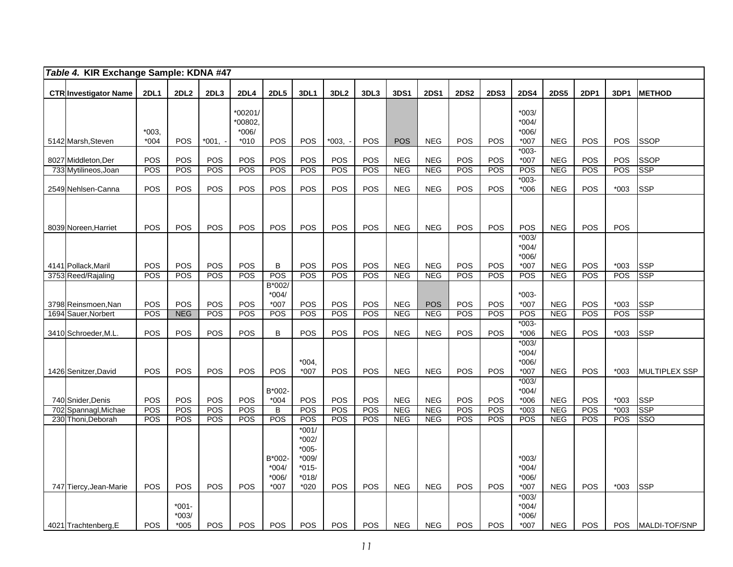| Table 4. KIR Exchange Sample: KDNA #47    |                   |             |            |                   |                   |                    |                  |            |            |             |             |             |                    |             |             |               |                          |
|-------------------------------------------|-------------------|-------------|------------|-------------------|-------------------|--------------------|------------------|------------|------------|-------------|-------------|-------------|--------------------|-------------|-------------|---------------|--------------------------|
| <b>CTR Investigator Name</b>              | <b>2DL1</b>       | <b>2DL2</b> | 2DL3       | <b>2DL4</b>       | <b>2DL5</b>       | 3DL1               | 3DL <sub>2</sub> | 3DL3       | 3DS1       | <b>2DS1</b> | <b>2DS2</b> | <b>2DS3</b> | <b>2DS4</b>        | <b>2DS5</b> | <b>2DP1</b> | 3DP1          | <b>METHOD</b>            |
|                                           |                   |             |            |                   |                   |                    |                  |            |            |             |             |             |                    |             |             |               |                          |
|                                           |                   |             |            | *00201/           |                   |                    |                  |            |            |             |             |             | $*003/$            |             |             |               |                          |
|                                           |                   |             |            | *00802,           |                   |                    |                  |            |            |             |             |             | $*004/$            |             |             |               |                          |
| 5142 Marsh, Steven                        | $*003.$<br>$*004$ | <b>POS</b>  | $*001, -$  | $*006/$<br>$*010$ | POS               | POS                | $*003.$          | <b>POS</b> | <b>POS</b> | <b>NEG</b>  | <b>POS</b>  | POS         | $*006/$<br>$*007$  | <b>NEG</b>  | <b>POS</b>  | POS           | <b>SSOP</b>              |
|                                           |                   |             |            |                   |                   |                    |                  |            |            |             |             |             | $*003-$            |             |             |               |                          |
| 8027 Middleton, Der                       | POS               | POS         | POS        | POS               | POS               | POS                | POS              | POS        | <b>NEG</b> | <b>NEG</b>  | POS         | <b>POS</b>  | $*007$             | <b>NEG</b>  | <b>POS</b>  | POS           | <b>SSOP</b>              |
| 733 Mytilineos, Joan                      | POS               | POS         | POS        | POS               | POS               | POS                | POS              | POS        | <b>NEG</b> | <b>NEG</b>  | POS         | POS         | POS                | <b>NEG</b>  | POS         | POS           | <b>SSP</b>               |
|                                           |                   |             |            |                   |                   |                    |                  |            |            |             |             |             | $*003-$            |             |             |               |                          |
| 2549 Nehlsen-Canna                        | POS               | POS         | POS        | POS               | POS               | POS                | POS              | POS        | <b>NEG</b> | <b>NEG</b>  | POS         | POS         | $*006$             | <b>NEG</b>  | POS         | $*003$        | <b>SSP</b>               |
|                                           |                   |             |            |                   |                   |                    |                  |            |            |             |             |             |                    |             |             |               |                          |
|                                           |                   |             |            |                   |                   |                    |                  |            |            |             |             |             |                    |             |             |               |                          |
| 8039 Noreen, Harriet                      | <b>POS</b>        | <b>POS</b>  | <b>POS</b> | POS               | POS               | POS                | <b>POS</b>       | POS        | <b>NEG</b> | <b>NEG</b>  | <b>POS</b>  | <b>POS</b>  | <b>POS</b>         | <b>NEG</b>  | POS         | <b>POS</b>    |                          |
|                                           |                   |             |            |                   |                   |                    |                  |            |            |             |             |             | $*003/$            |             |             |               |                          |
|                                           |                   |             |            |                   |                   |                    |                  |            |            |             |             |             | $*004/$            |             |             |               |                          |
|                                           | POS               |             | POS        | <b>POS</b>        | B                 |                    | POS              | POS        | <b>NEG</b> | <b>NEG</b>  | POS         | POS         | $*006/$            | <b>NEG</b>  |             |               |                          |
| 4141 Pollack, Maril<br>3753 Reed/Rajaling | POS               | POS<br>POS  | POS        | POS               | POS               | POS<br>POS         | POS              | POS        | <b>NEG</b> | <b>NEG</b>  | POS         | POS         | $*007$<br>POS      | <b>NEG</b>  | POS<br>POS  | $*003$<br>POS | <b>SSP</b><br><b>SSP</b> |
|                                           |                   |             |            |                   | B*002/            |                    |                  |            |            |             |             |             |                    |             |             |               |                          |
|                                           |                   |             |            |                   | $*004/$           |                    |                  |            |            |             |             |             | $*003-$            |             |             |               |                          |
| 3798 Reinsmoen, Nan                       | POS               | POS         | POS        | POS               | *007              | POS                | POS              | POS        | <b>NEG</b> | <b>POS</b>  | POS         | POS         | $*007$             | <b>NEG</b>  | POS         | $*003$        | <b>SSP</b>               |
| 1694 Sauer, Norbert                       | POS               | <b>NEG</b>  | POS        | POS               | POS               | POS                | POS              | POS        | <b>NEG</b> | <b>NEG</b>  | POS         | POS         | POS                | <b>NEG</b>  | POS         | POS           | <b>SSP</b>               |
| 3410 Schroeder, M.L.                      | POS               | POS         | POS        | POS               | B                 | POS                | POS              | POS        | <b>NEG</b> | <b>NEG</b>  | POS         | <b>POS</b>  | $*003-$<br>$*006$  | <b>NEG</b>  | POS         | $*003$        | <b>SSP</b>               |
|                                           |                   |             |            |                   |                   |                    |                  |            |            |             |             |             | $*003/$            |             |             |               |                          |
|                                           |                   |             |            |                   |                   |                    |                  |            |            |             |             |             | $*004/$            |             |             |               |                          |
|                                           |                   |             |            |                   |                   | $*004.$            |                  |            |            |             |             |             | $*006/$            |             |             |               |                          |
| 1426 Senitzer, David                      | POS               | POS         | POS        | POS               | POS               | $*007$             | POS              | POS        | <b>NEG</b> | <b>NEG</b>  | POS         | <b>POS</b>  | $*007$             | <b>NEG</b>  | POS         | $*003$        | <b>MULTIPLEX SSP</b>     |
|                                           |                   |             |            |                   |                   |                    |                  |            |            |             |             |             | $*003/$            |             |             |               |                          |
| 740 Snider, Denis                         | POS               | POS         | POS        | POS               | B*002-<br>$*004$  | POS                | POS              | POS        | <b>NEG</b> | <b>NEG</b>  | POS         | POS         | $*004/$<br>$*006$  | <b>NEG</b>  | POS         | $*003$        | <b>SSP</b>               |
| 702 Spannagl, Michae                      | POS               | POS         | <b>POS</b> | POS               | $\overline{B}$    | POS                | POS              | POS        | <b>NEG</b> | <b>NEG</b>  | POS         | POS         | $*003$             | <b>NEG</b>  | POS         | $*003$        | <b>SSP</b>               |
| 230 Thoni, Deborah                        | POS               | POS         | POS        | <b>POS</b>        | POS               | POS                | POS              | POS        | NEG        | <b>NEG</b>  | <b>POS</b>  | POS         | POS                | <b>NEG</b>  | POS         | POS           | <b>SSO</b>               |
|                                           |                   |             |            |                   |                   | $*001/$            |                  |            |            |             |             |             |                    |             |             |               |                          |
|                                           |                   |             |            |                   |                   | $*002/$            |                  |            |            |             |             |             |                    |             |             |               |                          |
|                                           |                   |             |            |                   |                   | $*005-$            |                  |            |            |             |             |             |                    |             |             |               |                          |
|                                           |                   |             |            |                   | B*002-<br>$*004/$ | $*009/$<br>$*015-$ |                  |            |            |             |             |             | $*003/$<br>$*004/$ |             |             |               |                          |
|                                           |                   |             |            |                   | $*006/$           | $*018/$            |                  |            |            |             |             |             | $*006/$            |             |             |               |                          |
| 747 Tiercy, Jean-Marie                    | <b>POS</b>        | <b>POS</b>  | <b>POS</b> | <b>POS</b>        | $*007$            | $*020$             | <b>POS</b>       | <b>POS</b> | <b>NEG</b> | <b>NEG</b>  | <b>POS</b>  | <b>POS</b>  | *007               | <b>NEG</b>  | <b>POS</b>  | $*003$        | <b>SSP</b>               |
|                                           |                   |             |            |                   |                   |                    |                  |            |            |             |             |             | $*003/$            |             |             |               |                          |
|                                           |                   | $*001-$     |            |                   |                   |                    |                  |            |            |             |             |             | $*004/$            |             |             |               |                          |
|                                           |                   | $*003/$     |            |                   |                   |                    |                  |            |            |             |             |             | $*006/$            |             |             |               |                          |
| 4021 Trachtenberg, E                      | <b>POS</b>        | $*005$      | <b>POS</b> | POS               | <b>POS</b>        | <b>POS</b>         | POS              | <b>POS</b> | <b>NEG</b> | <b>NEG</b>  | <b>POS</b>  | <b>POS</b>  | $*007$             | <b>NEG</b>  | <b>POS</b>  |               | POS MALDI-TOF/SNP        |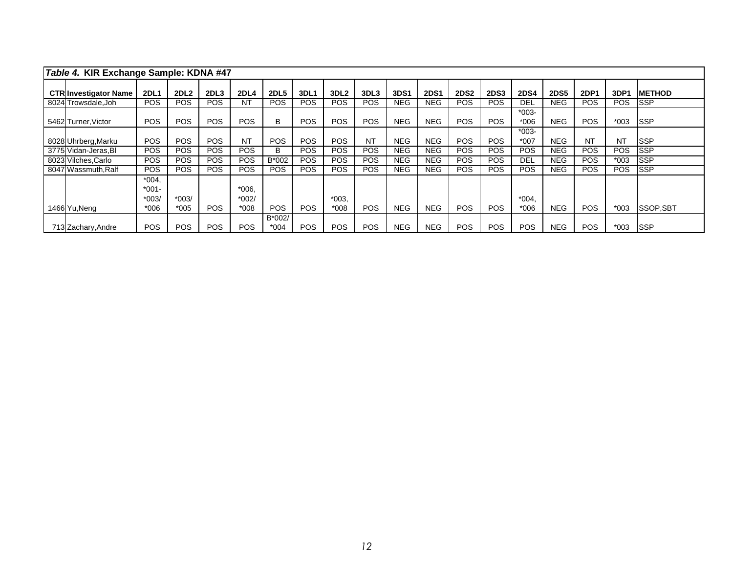| Table 4. KIR Exchange Sample: KDNA #47 |                                |                  |                  |                    |                  |             |                  |            |             |             |             |             |                   |             |             |                  |                 |
|----------------------------------------|--------------------------------|------------------|------------------|--------------------|------------------|-------------|------------------|------------|-------------|-------------|-------------|-------------|-------------------|-------------|-------------|------------------|-----------------|
| <b>CTRIInvestigator Name</b>           | <b>2DL1</b>                    | 2DL <sub>2</sub> | 2DL <sub>3</sub> | <b>2DL4</b>        | <b>2DL5</b>      | <b>3DL1</b> | 3DL <sub>2</sub> | 3DL3       | <b>3DS1</b> | <b>2DS1</b> | <b>2DS2</b> | <b>2DS3</b> | <b>2DS4</b>       | <b>2DS5</b> | <b>2DP1</b> | 3DP <sub>1</sub> | <b>METHOD</b>   |
| 8024 Trowsdale, Joh                    | <b>POS</b>                     | <b>POS</b>       | <b>POS</b>       | NT                 | <b>POS</b>       | <b>POS</b>  | <b>POS</b>       | <b>POS</b> | <b>NEG</b>  | <b>NEG</b>  | <b>POS</b>  | POS.        | <b>DEL</b>        | <b>NEG</b>  | <b>POS</b>  | <b>POS</b>       | <b>ISSP</b>     |
| 5462 Turner, Victor                    | <b>POS</b>                     | <b>POS</b>       | <b>POS</b>       | <b>POS</b>         | B                | <b>POS</b>  | <b>POS</b>       | POS        | <b>NEG</b>  | <b>NEG</b>  | <b>POS</b>  | <b>POS</b>  | $*003-$<br>$*006$ | <b>NEG</b>  | <b>POS</b>  | $*003$           | <b>ISSP</b>     |
| 8028 Uhrberg, Marku                    | <b>POS</b>                     | <b>POS</b>       | <b>POS</b>       | <b>NT</b>          | <b>POS</b>       | <b>POS</b>  | <b>POS</b>       | <b>NT</b>  | <b>NEG</b>  | <b>NEG</b>  | <b>POS</b>  | <b>POS</b>  | $*003-$<br>$*007$ | <b>NEG</b>  | <b>NT</b>   | <b>NT</b>        | <b>SSP</b>      |
| 3775 Vidan-Jeras, Bl                   | POS.                           | <b>POS</b>       | POS.             | <b>POS</b>         | B                | <b>POS</b>  | <b>POS</b>       | <b>POS</b> | <b>NEG</b>  | <b>NEG</b>  | POS.        | POS         | <b>POS</b>        | <b>NEG</b>  | <b>POS</b>  | <b>POS</b>       | <b>ISSP</b>     |
| 8023 Vilches, Carlo                    | <b>POS</b>                     | <b>POS</b>       | <b>POS</b>       | <b>POS</b>         | B*002            | <b>POS</b>  | <b>POS</b>       | <b>POS</b> | <b>NEG</b>  | <b>NEG</b>  | POS.        | POS.        | <b>DEL</b>        | <b>NEG</b>  | <b>POS</b>  | $*003$           | <b>ISSP</b>     |
| 8047 Wassmuth, Ralf                    | <b>POS</b>                     | <b>POS</b>       | <b>POS</b>       | <b>POS</b>         | <b>POS</b>       | <b>POS</b>  | <b>POS</b>       | <b>POS</b> | <b>NEG</b>  | <b>NEG</b>  | <b>POS</b>  | <b>POS</b>  | <b>POS</b>        | <b>NEG</b>  | <b>POS</b>  | <b>POS</b>       | <b>SSP</b>      |
|                                        | $*004.$<br>$*001 -$<br>$*003/$ | $*003/$          |                  | $*006.$<br>$*002/$ |                  |             | $*003.$          |            |             |             |             |             | $*004.$           |             |             |                  |                 |
| 1466 Yu, Neng                          | $*006$                         | $*005$           | <b>POS</b>       | $*008$             | <b>POS</b>       | <b>POS</b>  | $*008$           | <b>POS</b> | <b>NEG</b>  | <b>NEG</b>  | <b>POS</b>  | <b>POS</b>  | $*006$            | <b>NEG</b>  | <b>POS</b>  | $*003$           | <b>SSOP,SBT</b> |
| 713 Zachary, Andre                     | <b>POS</b>                     | <b>POS</b>       | <b>POS</b>       | <b>POS</b>         | B*002/<br>$*004$ | <b>POS</b>  | <b>POS</b>       | <b>POS</b> | <b>NEG</b>  | <b>NEG</b>  | <b>POS</b>  | <b>POS</b>  | <b>POS</b>        | <b>NEG</b>  | <b>POS</b>  | $*003$           | <b>ISSP</b>     |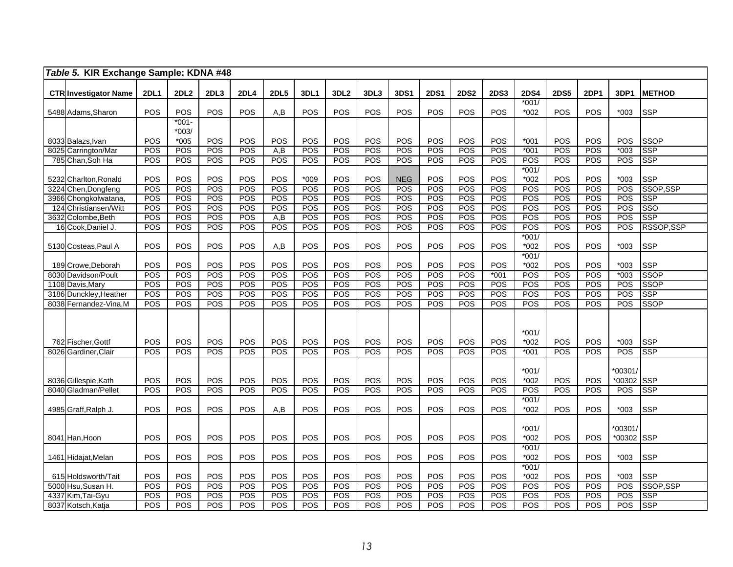|      | Table 5. KIR Exchange Sample: KDNA #48                                                                                                                 |                                 |                                 |                                 |                                        |                                 |                                        |                                        |                                        |                                 |                                        |                                        |                                 |                                                                           |                                        |                                 |                                                  |                                                                   |
|------|--------------------------------------------------------------------------------------------------------------------------------------------------------|---------------------------------|---------------------------------|---------------------------------|----------------------------------------|---------------------------------|----------------------------------------|----------------------------------------|----------------------------------------|---------------------------------|----------------------------------------|----------------------------------------|---------------------------------|---------------------------------------------------------------------------|----------------------------------------|---------------------------------|--------------------------------------------------|-------------------------------------------------------------------|
|      | <b>CTR</b> Investigator Name                                                                                                                           | <b>2DL1</b>                     | 2DL2                            | 2DL3                            | 2DL4                                   | <b>2DL5</b>                     | <b>3DL1</b>                            | 3DL <sub>2</sub>                       | 3DL3                                   | <b>3DS1</b>                     | <b>2DS1</b>                            | <b>2DS2</b>                            | <b>2DS3</b>                     | <b>2DS4</b>                                                               | <b>2DS5</b>                            | <b>2DP1</b>                     | 3DP1                                             | <b>METHOD</b>                                                     |
|      |                                                                                                                                                        | POS                             | POS                             | POS                             | POS                                    | A,B                             | POS                                    | POS                                    | POS                                    | POS                             | POS                                    | POS                                    | POS                             | $*001/$<br>$*002$                                                         | POS                                    | POS                             | $*003$                                           | <b>SSP</b>                                                        |
|      | 5488 Adams, Sharon                                                                                                                                     |                                 | $*001 -$                        |                                 |                                        |                                 |                                        |                                        |                                        |                                 |                                        |                                        |                                 |                                                                           |                                        |                                 |                                                  |                                                                   |
|      |                                                                                                                                                        |                                 | $*003/$                         |                                 |                                        |                                 |                                        |                                        |                                        |                                 |                                        |                                        |                                 |                                                                           |                                        |                                 |                                                  |                                                                   |
|      | 8033 Balazs, Ivan                                                                                                                                      | POS                             | $*005$                          | POS                             | POS                                    | POS                             | POS                                    | POS                                    | POS                                    | POS                             | POS                                    | POS                                    | POS                             | $*001$                                                                    | POS                                    | POS                             | POS                                              | <b>SSOP</b>                                                       |
|      | 8025 Carrington/Mar                                                                                                                                    | POS                             | POS                             | POS                             | POS                                    | A,B                             | POS                                    | POS                                    | POS                                    | POS                             | POS                                    | POS                                    | POS                             | $*001$                                                                    | POS                                    | POS                             | $*003$                                           | <b>SSP</b>                                                        |
|      | 785 Chan, Soh Ha                                                                                                                                       | POS                             | POS                             | POS                             | POS                                    | POS                             | POS                                    | POS                                    | POS                                    | POS                             | POS                                    | POS                                    | POS                             | POS                                                                       | POS                                    | POS                             | POS                                              | <b>SSP</b>                                                        |
|      |                                                                                                                                                        |                                 |                                 |                                 |                                        |                                 |                                        |                                        |                                        |                                 |                                        |                                        |                                 | $*001/$                                                                   |                                        |                                 |                                                  |                                                                   |
|      | 5232 Charlton, Ronald                                                                                                                                  | POS                             | POS                             | POS                             | POS                                    | POS                             | $*009$                                 | POS                                    | POS                                    | <b>NEG</b>                      | POS                                    | POS                                    | POS                             | $*002$                                                                    | POS                                    | POS                             | $*003$                                           | <b>SSP</b>                                                        |
|      | 3224 Chen, Dongfeng                                                                                                                                    | POS                             | POS                             | POS                             | POS                                    | POS                             | POS                                    | POS                                    | POS                                    | POS                             | POS                                    | POS                                    | POS                             | POS                                                                       | POS                                    | POS                             | POS                                              | <b>SSOP.SSP</b>                                                   |
|      | 3966 Chongkolwatana<br>124 Christiansen/Witt                                                                                                           | POS<br>POS                      | POS<br>POS                      | POS<br>POS                      | POS<br>POS                             | POS<br>POS                      | POS<br>POS                             | POS<br>POS                             | POS<br>POS                             | POS<br>POS                      | POS<br>POS                             | POS<br>POS                             | POS<br>POS                      | POS<br>POS                                                                | POS<br>POS                             | POS<br>POS                      | POS<br>POS                                       | <b>SSP</b><br><b>SSO</b>                                          |
|      | 3632 Colombe, Beth                                                                                                                                     | POS                             | POS                             | POS                             | POS                                    | A,B                             | POS                                    | POS                                    | POS                                    | POS                             | POS                                    | POS                                    | POS                             | POS                                                                       | POS                                    | POS                             | POS                                              | <b>SSP</b>                                                        |
|      | 16 Cook, Daniel J.                                                                                                                                     | POS                             | POS                             | POS                             | POS                                    | POS                             | POS                                    | POS                                    | POS                                    | POS                             | POS                                    | POS                                    | POS                             | POS                                                                       | POS                                    | POS                             | POS                                              | RSSOP, SSP                                                        |
|      |                                                                                                                                                        |                                 |                                 |                                 |                                        |                                 |                                        |                                        |                                        |                                 |                                        |                                        |                                 | $*001/$                                                                   |                                        |                                 |                                                  |                                                                   |
|      | 5130 Costeas, Paul A                                                                                                                                   | POS                             | POS                             | POS                             | POS                                    | A,B                             | POS                                    | POS                                    | POS                                    | POS                             | POS                                    | POS                                    | POS                             | *002                                                                      | POS                                    | POS                             | $*003$                                           | <b>SSP</b>                                                        |
|      |                                                                                                                                                        |                                 |                                 |                                 |                                        |                                 |                                        |                                        |                                        |                                 |                                        |                                        |                                 | $*001/$                                                                   |                                        |                                 |                                                  |                                                                   |
|      | 189 Crowe, Deborah                                                                                                                                     | POS                             | POS                             | POS                             | POS                                    | POS                             | POS                                    | POS                                    | POS                                    | POS                             | POS                                    | POS                                    | POS                             | $*002$                                                                    | POS                                    | POS                             | $*003$                                           | <b>SSP</b>                                                        |
|      | 8030 Davidson/Poult                                                                                                                                    | POS                             | POS                             | POS                             | POS                                    | POS                             | POS                                    | <b>POS</b>                             | POS                                    | POS                             | POS                                    | POS                                    | $*001$                          | POS                                                                       | POS                                    | POS                             | $*003$                                           | <b>SSOP</b>                                                       |
| 1108 | Davis, Mary                                                                                                                                            | POS                             | POS                             | POS                             | POS                                    | POS                             | POS                                    | POS                                    | POS                                    | POS                             | POS                                    | POS                                    | POS                             | POS                                                                       | <b>POS</b>                             | POS                             | POS                                              | <b>SSOP</b>                                                       |
|      | 3186 Dunckley, Heather                                                                                                                                 | POS                             | POS                             | <b>POS</b>                      | POS                                    | POS                             | POS                                    | <b>POS</b>                             | POS                                    | POS                             | POS                                    | POS                                    | POS                             | POS                                                                       | POS                                    | POS                             | <b>POS</b>                                       | <b>SSP</b>                                                        |
|      | 8038 Fernandez-Vina, M                                                                                                                                 | POS                             | POS                             | <b>POS</b>                      | POS                                    | POS                             | POS                                    | POS                                    | POS                                    | POS                             | POS                                    | POS                                    | POS                             | POS                                                                       | POS                                    | POS                             | POS                                              | <b>SSOP</b>                                                       |
|      |                                                                                                                                                        |                                 |                                 |                                 |                                        |                                 |                                        |                                        |                                        |                                 |                                        |                                        |                                 |                                                                           |                                        |                                 |                                                  |                                                                   |
|      |                                                                                                                                                        |                                 |                                 |                                 |                                        |                                 |                                        |                                        |                                        |                                 |                                        |                                        |                                 |                                                                           |                                        |                                 |                                                  |                                                                   |
|      | 762 Fischer, Gottf                                                                                                                                     | POS                             | POS                             | POS                             | POS                                    | POS                             | POS                                    | POS                                    | POS                                    | POS                             | POS                                    | POS                                    | POS                             | $*001/$<br>$*002$                                                         | POS                                    | POS                             | $*003$                                           | <b>SSP</b>                                                        |
|      | 8026 Gardiner, Clair                                                                                                                                   | POS                             | POS                             | POS                             | POS                                    | POS                             | POS                                    | POS                                    | POS                                    | POS                             | POS                                    | POS                                    | POS                             | $*001$                                                                    | POS                                    | POS                             | POS                                              | <b>SSP</b>                                                        |
|      |                                                                                                                                                        |                                 |                                 |                                 |                                        |                                 |                                        |                                        |                                        |                                 |                                        |                                        |                                 |                                                                           |                                        |                                 |                                                  |                                                                   |
|      |                                                                                                                                                        |                                 |                                 |                                 |                                        |                                 |                                        |                                        |                                        |                                 |                                        |                                        |                                 | $*001/$                                                                   |                                        |                                 | *00301/                                          |                                                                   |
|      |                                                                                                                                                        | POS                             | POS                             | POS                             | POS                                    | POS                             | POS                                    | POS                                    | POS                                    | POS                             | POS                                    | POS                                    | POS                             | $*002$                                                                    | POS                                    | POS                             | *00302 SSP                                       |                                                                   |
| 8040 | Gladman/Pellet                                                                                                                                         | POS                             | POS                             | POS                             | POS                                    | POS                             | POS                                    | POS                                    | POS                                    | POS                             | POS                                    | POS                                    | <b>POS</b>                      | POS                                                                       | POS                                    | POS                             | <b>POS</b>                                       | <b>SSP</b>                                                        |
|      |                                                                                                                                                        |                                 |                                 |                                 |                                        |                                 |                                        |                                        |                                        |                                 |                                        |                                        |                                 | $*001/$                                                                   |                                        |                                 |                                                  |                                                                   |
|      |                                                                                                                                                        |                                 |                                 |                                 |                                        |                                 |                                        |                                        |                                        |                                 |                                        |                                        | <b>POS</b>                      | $*002$                                                                    |                                        |                                 | $*003$                                           |                                                                   |
|      |                                                                                                                                                        |                                 |                                 |                                 |                                        |                                 |                                        |                                        |                                        |                                 |                                        |                                        |                                 |                                                                           |                                        |                                 |                                                  |                                                                   |
|      |                                                                                                                                                        |                                 |                                 |                                 |                                        |                                 |                                        |                                        |                                        |                                 |                                        |                                        |                                 |                                                                           |                                        |                                 |                                                  |                                                                   |
|      |                                                                                                                                                        |                                 |                                 |                                 |                                        |                                 |                                        |                                        |                                        |                                 |                                        |                                        |                                 |                                                                           |                                        |                                 |                                                  |                                                                   |
|      |                                                                                                                                                        |                                 |                                 |                                 |                                        |                                 |                                        |                                        |                                        |                                 |                                        |                                        |                                 |                                                                           |                                        |                                 |                                                  |                                                                   |
|      |                                                                                                                                                        |                                 |                                 |                                 |                                        |                                 |                                        |                                        |                                        |                                 |                                        |                                        |                                 |                                                                           |                                        |                                 |                                                  |                                                                   |
|      |                                                                                                                                                        |                                 |                                 |                                 |                                        |                                 |                                        |                                        |                                        |                                 |                                        |                                        |                                 |                                                                           |                                        |                                 |                                                  |                                                                   |
|      |                                                                                                                                                        |                                 |                                 |                                 |                                        |                                 |                                        |                                        |                                        |                                 |                                        |                                        |                                 |                                                                           |                                        |                                 |                                                  |                                                                   |
|      |                                                                                                                                                        | POS                             | POS                             | POS                             |                                        | POS                             |                                        |                                        |                                        | POS                             |                                        |                                        | POS                             |                                                                           |                                        | POS                             | POS                                              |                                                                   |
|      | 8037 Kotsch, Katja                                                                                                                                     | POS                             | POS                             | POS                             | POS                                    | POS                             | POS                                    | POS                                    | POS                                    | POS                             | POS                                    | POS                                    | POS                             | POS                                                                       | POS                                    | POS                             | POS                                              | <b>SSP</b>                                                        |
|      | 8036 Gillespie, Kath<br>4985 Graff, Ralph J.<br>8041 Han, Hoon<br>1461 Hidajat, Melan<br>615 Holdsworth/Tait<br>5000 Hsu, Susan H.<br>4337 Kim,Tai-Gyu | POS<br>POS<br>POS<br>POS<br>POS | POS<br>POS<br>POS<br>POS<br>POS | POS<br>POS<br>POS<br>POS<br>POS | POS<br>POS<br>POS<br>POS<br>POS<br>POS | A,B<br>POS<br>POS<br>POS<br>POS | POS<br>POS<br>POS<br>POS<br>POS<br>POS | POS<br>POS<br>POS<br>POS<br>POS<br>POS | POS<br>POS<br>POS<br>POS<br>POS<br>POS | POS<br>POS<br>POS<br>POS<br>POS | POS<br>POS<br>POS<br>POS<br>POS<br>POS | POS<br>POS<br>POS<br>POS<br>POS<br>POS | POS<br>POS<br>POS<br><b>POS</b> | $*001/$<br>$*002$<br>$*001/$<br>$*002$<br>$*001/$<br>$*002$<br>POS<br>POS | POS<br>POS<br>POS<br>POS<br>POS<br>POS | POS<br>POS<br>POS<br>POS<br>POS | *00301/<br>*00302 SSP<br>$*003$<br>$*003$<br>POS | <b>SSP</b><br><b>SSP</b><br><b>SSP</b><br>SSOP, SSP<br><b>SSP</b> |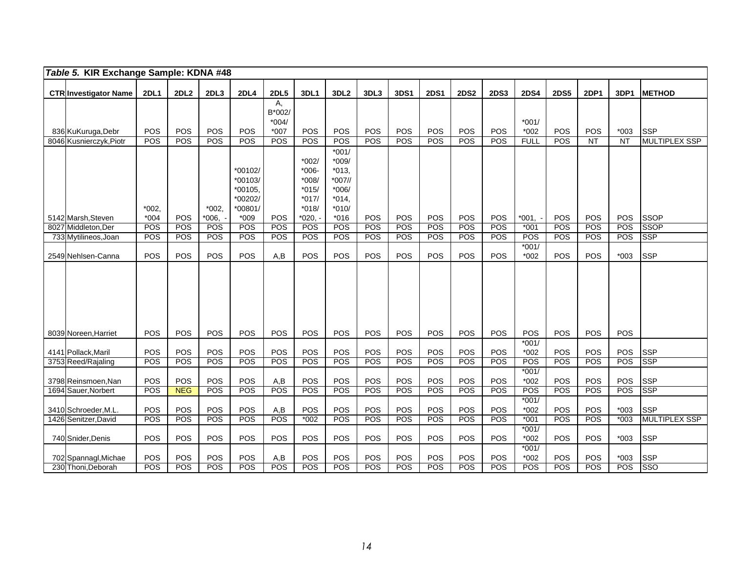| Table 5. KIR Exchange Sample: KDNA #48 |             |            |            |                    |              |                  |                   |            |             |             |             |             |                   |             |                 |           |                      |
|----------------------------------------|-------------|------------|------------|--------------------|--------------|------------------|-------------------|------------|-------------|-------------|-------------|-------------|-------------------|-------------|-----------------|-----------|----------------------|
| <b>CTR Investigator Name</b>           | <b>2DL1</b> | 2DL2       | 2DL3       | <b>2DL4</b>        | <b>2DL5</b>  | 3DL1             | 3DL <sub>2</sub>  | 3DL3       | <b>3DS1</b> | <b>2DS1</b> | <b>2DS2</b> | <b>2DS3</b> | <b>2DS4</b>       | <b>2DS5</b> | <b>2DP1</b>     | 3DP1      | <b>METHOD</b>        |
|                                        |             |            |            |                    | А,<br>B*002/ |                  |                   |            |             |             |             |             |                   |             |                 |           |                      |
|                                        |             |            |            |                    | $*004/$      |                  |                   |            |             |             |             |             | $*001/$           |             |                 |           |                      |
| 836 KuKuruga, Debr                     | POS         | POS        | POS        | POS                | $*007$       | POS              | POS               | POS        | <b>POS</b>  | <b>POS</b>  | POS         | POS         | $*002$            | POS         | <b>POS</b>      | $*003$    | <b>SSP</b>           |
| 8046 Kusnierczyk, Piotr                | POS         | POS        | POS        | POS                | POS          | POS              | POS               | POS        | <b>POS</b>  | POS         | POS         | POS         | <b>FULL</b>       | <b>POS</b>  | $\overline{NT}$ | <b>NT</b> | <b>MULTIPLEX SSP</b> |
|                                        |             |            |            |                    |              |                  | $*001/$           |            |             |             |             |             |                   |             |                 |           |                      |
|                                        |             |            |            |                    |              | *002/            | $*009/$           |            |             |             |             |             |                   |             |                 |           |                      |
|                                        |             |            |            | *00102/            |              | $*006-$          | $*013,$           |            |             |             |             |             |                   |             |                 |           |                      |
|                                        |             |            |            | *00103/<br>*00105, |              | *008/<br>$*015/$ | *007//<br>$*006/$ |            |             |             |             |             |                   |             |                 |           |                      |
|                                        |             |            |            | *00202/            |              | $*017/$          | $*014.$           |            |             |             |             |             |                   |             |                 |           |                      |
|                                        | $*002.$     |            | $*002,$    | *00801/            |              | $*018/$          | $*010/$           |            |             |             |             |             |                   |             |                 |           |                      |
| 5142 Marsh, Steven                     | $*004$      | <b>POS</b> | $*006.$    | $*009$             | <b>POS</b>   | $*020, -$        | $*016$            | <b>POS</b> | <b>POS</b>  | <b>POS</b>  | POS         | POS         | $*001, -$         | <b>POS</b>  | <b>POS</b>      | POS       | <b>SSOP</b>          |
| 8027 Middleton, Der                    | POS         | POS        | <b>POS</b> | POS                | POS          | POS              | POS               | POS        | POS         | POS         | POS         | POS         | $*001$            | POS         | POS             | POS       | <b>SSOP</b>          |
| 733 Mytilineos, Joan                   | POS         | POS        | POS        | POS                | <b>POS</b>   | POS              | POS               | POS        | <b>POS</b>  | <b>POS</b>  | <b>POS</b>  | POS         | POS               | <b>POS</b>  | <b>POS</b>      | POS       | <b>SSP</b>           |
| 2549 Nehlsen-Canna                     | POS         | POS        | POS        | POS                | A,B          | POS              | POS               | POS        | <b>POS</b>  | POS         | POS         | POS         | $*001/$<br>$*002$ | POS         | POS             | $*003$    | <b>SSP</b>           |
|                                        |             |            |            |                    |              |                  |                   |            |             |             |             |             |                   |             |                 |           |                      |
|                                        |             |            |            |                    |              |                  |                   |            |             |             |             |             |                   |             |                 |           |                      |
|                                        |             |            |            |                    |              |                  |                   |            |             |             |             |             |                   |             |                 |           |                      |
|                                        |             |            |            |                    |              |                  |                   |            |             |             |             |             |                   |             |                 |           |                      |
|                                        |             |            |            |                    |              |                  |                   |            |             |             |             |             |                   |             |                 |           |                      |
|                                        |             |            |            |                    |              |                  |                   |            |             |             |             |             |                   |             |                 |           |                      |
| 8039 Noreen, Harriet                   | POS         | POS        | POS        | POS                | POS          | POS              | POS               | POS        | POS         | POS         | POS         | POS         | POS               | POS         | POS             | POS       |                      |
|                                        |             |            |            |                    |              |                  |                   |            |             |             |             |             | $*001/$           |             |                 |           |                      |
| 4141 Pollack, Maril                    | POS         | POS        | POS        | POS                | POS          | POS              | POS               | POS        | <b>POS</b>  | POS         | POS         | POS         | $*002$            | POS         | POS             | POS       | <b>SSP</b>           |
| 3753 Reed/Rajaling                     | POS         | POS        | POS        | POS                | POS          | POS              | POS               | POS        | <b>POS</b>  | POS         | POS         | POS         | POS               | <b>POS</b>  | <b>POS</b>      | POS       | <b>SSP</b>           |
| 3798 Reinsmoen, Nan                    | POS         | POS        | POS        | POS                | A,B          | POS              | POS               | POS        | POS         | POS         | POS         | POS         | $*001/$<br>$*002$ | POS         | POS             | POS       | <b>SSP</b>           |
| 1694 Sauer, Norbert                    | POS         | <b>NEG</b> | POS        | POS                | POS          | POS              | POS               | POS        | POS         | POS         | POS         | POS         | POS               | <b>POS</b>  | POS             | POS       | <b>SSP</b>           |
|                                        |             |            |            |                    |              |                  |                   |            |             |             |             |             | $*001/$           |             |                 |           |                      |
| 3410 Schroeder, M.L.                   | POS         | POS        | POS        | POS                | A,B          | POS              | POS               | POS        | <b>POS</b>  | POS         | POS         | POS         | $*002$            | POS         | POS             | $*003$    | <b>SSP</b>           |
| 1426 Senitzer David                    | POS         | POS        | <b>POS</b> | POS                | POS          | $*002$           | POS               | POS        | <b>POS</b>  | POS         | POS         | POS         | $*001$            | <b>POS</b>  | <b>POS</b>      | $*003$    | <b>MULTIPLEX SSP</b> |
|                                        |             |            |            |                    |              |                  |                   |            |             |             |             |             | $*001/$           |             |                 |           |                      |
| 740 Snider, Denis                      | POS         | POS        | POS        | POS                | POS          | POS              | POS               | POS        | <b>POS</b>  | POS         | POS         | POS         | $*002$            | POS         | POS             | $*003$    | <b>SSP</b>           |
| 702 Spannagl, Michae                   | POS         | POS        | POS        | POS                | A,B          | POS              | POS               | POS        | <b>POS</b>  | POS         | POS         | POS         | $*001/$<br>$*002$ | POS         | POS             | $*003$    | <b>SSP</b>           |
| 230 Thoni, Deborah                     | POS         | POS        | POS        | POS                | POS          | POS              | POS               | <b>POS</b> | POS         | POS         | POS         | POS         | POS               | POS         | <b>POS</b>      | POS       | SSO                  |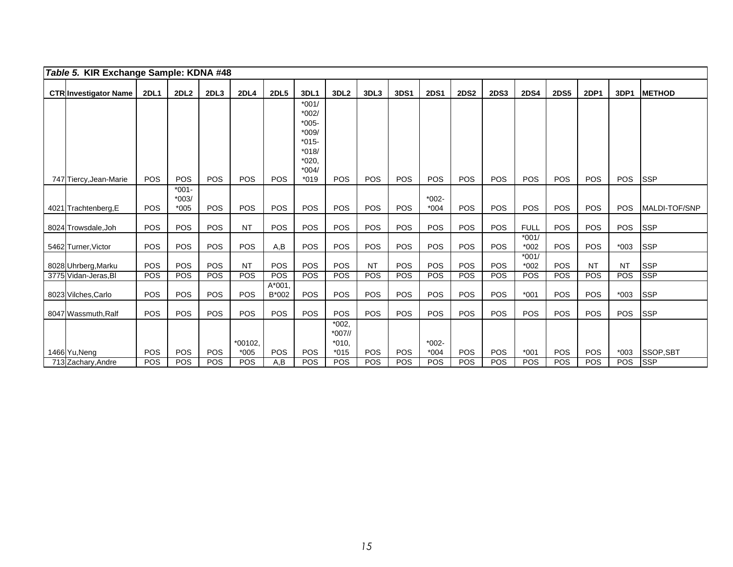| Table 5. KIR Exchange Sample: KDNA #48 |                              |             |                   |            |                     |                   |                                                                                              |                                           |           |            |                   |             |             |                   |             |             |            |               |
|----------------------------------------|------------------------------|-------------|-------------------|------------|---------------------|-------------------|----------------------------------------------------------------------------------------------|-------------------------------------------|-----------|------------|-------------------|-------------|-------------|-------------------|-------------|-------------|------------|---------------|
|                                        | <b>CTR Investigator Name</b> | <b>2DL1</b> | 2DL2              | 2DL3       | <b>2DL4</b>         | <b>2DL5</b>       | 3DL1                                                                                         | 3DL <sub>2</sub>                          | 3DL3      | 3DS1       | <b>2DS1</b>       | <b>2DS2</b> | <b>2DS3</b> | <b>2DS4</b>       | <b>2DS5</b> | <b>2DP1</b> | 3DP1       | <b>METHOD</b> |
|                                        |                              | POS         | POS               | <b>POS</b> | POS                 | <b>POS</b>        | $*001/$<br>*002/<br>$*005-$<br>$*009/$<br>$*015-$<br>$*018/$<br>$*020,$<br>$*004/$<br>$*019$ | POS                                       | POS       | POS        | POS               | <b>POS</b>  | <b>POS</b>  | POS               | POS         | <b>POS</b>  | <b>POS</b> | <b>SSP</b>    |
|                                        | 747 Tiercy, Jean-Marie       |             | $*001-$           |            |                     |                   |                                                                                              |                                           |           |            |                   |             |             |                   |             |             |            |               |
|                                        | 4021 Trachtenberg, E         | POS         | $*003/$<br>$*005$ | POS        | POS                 | POS               | POS                                                                                          | <b>POS</b>                                | POS       | POS        | $*002-$<br>$*004$ | POS         | POS         | <b>POS</b>        | <b>POS</b>  | <b>POS</b>  | POS        | MALDI-TOF/SNP |
|                                        | 8024 Trowsdale, Joh          | POS         | <b>POS</b>        | <b>POS</b> | <b>NT</b>           | POS               | POS                                                                                          | <b>POS</b>                                | POS       | <b>POS</b> | <b>POS</b>        | <b>POS</b>  | <b>POS</b>  | <b>FULL</b>       | <b>POS</b>  | <b>POS</b>  | <b>POS</b> | <b>SSP</b>    |
|                                        | 5462 Turner, Victor          | POS         | POS               | POS        | <b>POS</b>          | A,B               | POS                                                                                          | POS                                       | POS       | POS        | POS               | POS         | POS         | $*001/$<br>$*002$ | POS         | <b>POS</b>  | $*003$     | <b>SSP</b>    |
|                                        | 8028 Uhrberg, Marku          | POS         | <b>POS</b>        | <b>POS</b> | <b>NT</b>           | POS               | POS                                                                                          | <b>POS</b>                                | <b>NT</b> | <b>POS</b> | POS               | <b>POS</b>  | <b>POS</b>  | $*001/$<br>$*002$ | <b>POS</b>  | <b>NT</b>   | <b>NT</b>  | <b>SSP</b>    |
|                                        | 3775 Vidan-Jeras, Bl         | POS         | POS               | <b>POS</b> | POS                 | POS               | POS                                                                                          | <b>POS</b>                                | POS       | POS        | POS               | POS         | POS         | POS               | POS         | POS         | <b>POS</b> | <b>SSP</b>    |
|                                        | 8023 Vilches, Carlo          | POS         | POS               | POS        | POS                 | $A*001.$<br>B*002 | POS                                                                                          | POS                                       | POS       | POS        | POS               | POS         | <b>POS</b>  | $*001$            | POS         | POS         | $*003$     | <b>SSP</b>    |
|                                        | 8047 Wassmuth, Ralf          | POS         | <b>POS</b>        | POS        | <b>POS</b>          | <b>POS</b>        | <b>POS</b>                                                                                   | POS                                       | POS       | POS        | <b>POS</b>        | <b>POS</b>  | <b>POS</b>  | <b>POS</b>        | <b>POS</b>  | <b>POS</b>  | <b>POS</b> | <b>SSP</b>    |
|                                        | 1466 Yu, Neng                | POS         | POS               | POS        | $*00102.$<br>$*005$ | POS               | POS                                                                                          | $*002,$<br>$*007$ //<br>$*010.$<br>$*015$ | POS       | POS        | $*002-$<br>$*004$ | POS         | <b>POS</b>  | $*001$            | <b>POS</b>  | <b>POS</b>  | $*003$     | SSOP, SBT     |
|                                        | 713 Zachary, Andre           | POS         | POS               | <b>POS</b> | <b>POS</b>          | A,B               | POS                                                                                          | POS                                       | POS       | <b>POS</b> | <b>POS</b>        | <b>POS</b>  | <b>POS</b>  | <b>POS</b>        | <b>POS</b>  | <b>POS</b>  | POS        | <b>SSP</b>    |